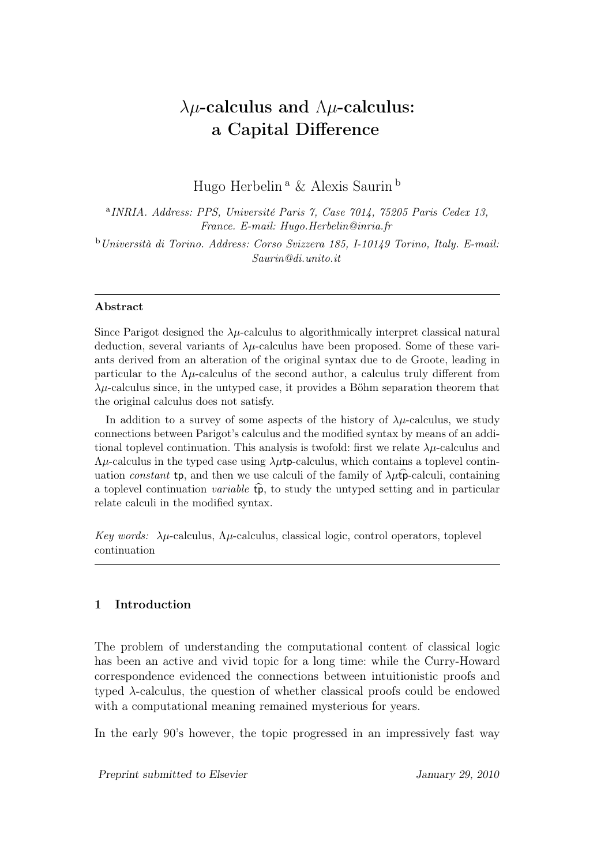# $\lambda \mu$ -calculus and  $\Lambda \mu$ -calculus: a Capital Difference

Hugo Herbelin <sup>a</sup> & Alexis Saurin <sup>b</sup>

<sup>a</sup>INRIA. Address: PPS, Université Paris 7, Case 7014, 75205 Paris Cedex 13, France. E-mail: Hugo.Herbelin@inria.fr <sup>b</sup>Università di Torino. Address: Corso Svizzera 185, I-10149 Torino, Italy. E-mail: Saurin@di.unito.it

#### Abstract

Since Parigot designed the  $\lambda \mu$ -calculus to algorithmically interpret classical natural deduction, several variants of  $\lambda \mu$ -calculus have been proposed. Some of these variants derived from an alteration of the original syntax due to de Groote, leading in particular to the  $\Lambda \mu$ -calculus of the second author, a calculus truly different from  $\lambda\mu$ -calculus since, in the untyped case, it provides a Böhm separation theorem that the original calculus does not satisfy.

In addition to a survey of some aspects of the history of  $\lambda \mu$ -calculus, we study connections between Parigot's calculus and the modified syntax by means of an additional toplevel continuation. This analysis is twofold: first we relate  $\lambda \mu$ -calculus and  $\Lambda \mu$ -calculus in the typed case using  $\lambda \mu$ tp-calculus, which contains a toplevel continuation constant tp, and then we use calculi of the family of  $\lambda \mu \dot{\mathbf{p}}$ -calculi, containing a toplevel continuation *variable*  $\widehat{\mathbf{p}}$ , to study the untyped setting and in particular relate calculi in the modified syntax.

Key words:  $\lambda \mu$ -calculus,  $\Lambda \mu$ -calculus, classical logic, control operators, toplevel continuation

#### 1 Introduction

The problem of understanding the computational content of classical logic has been an active and vivid topic for a long time: while the Curry-Howard correspondence evidenced the connections between intuitionistic proofs and typed  $\lambda$ -calculus, the question of whether classical proofs could be endowed with a computational meaning remained mysterious for years.

In the early 90's however, the topic progressed in an impressively fast way

Preprint submitted to Elsevier Theorem 1 January 29, 2010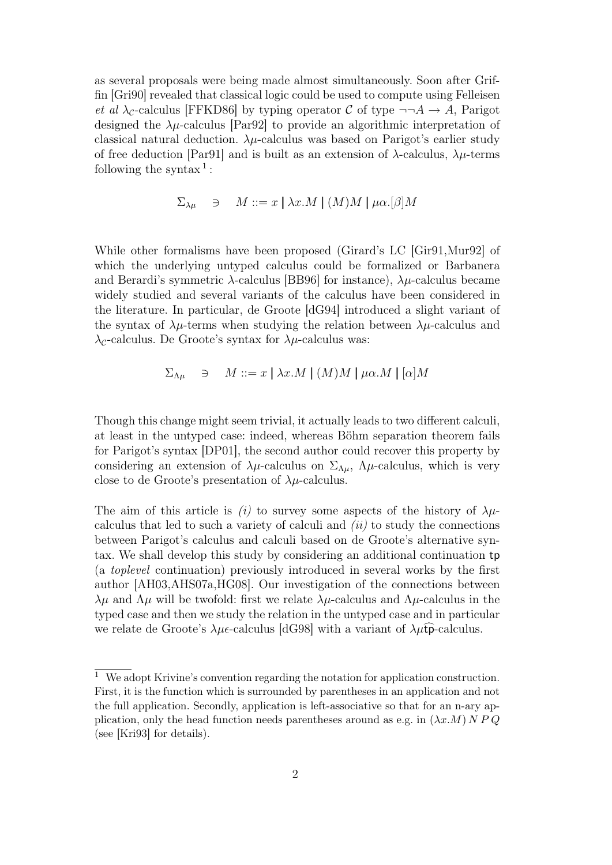as several proposals were being made almost simultaneously. Soon after Griffin [Gri90] revealed that classical logic could be used to compute using Felleisen *et al*  $\lambda_c$ -calculus [FFKD86] by typing operator C of type  $\neg\neg A \rightarrow A$ , Parigot designed the  $\lambda\mu$ -calculus [Par92] to provide an algorithmic interpretation of classical natural deduction.  $\lambda \mu$ -calculus was based on Parigot's earlier study of free deduction [Par91] and is built as an extension of  $\lambda$ -calculus,  $\lambda \mu$ -terms following the syntax<sup>1</sup>:

$$
\Sigma_{\lambda\mu} \quad \ni \quad M ::= x \mid \lambda x.M \mid (M)M \mid \mu\alpha. [\beta]M
$$

While other formalisms have been proposed (Girard's LC [Gir91,Mur92] of which the underlying untyped calculus could be formalized or Barbanera and Berardi's symmetric  $\lambda$ -calculus [BB96] for instance),  $\lambda \mu$ -calculus became widely studied and several variants of the calculus have been considered in the literature. In particular, de Groote [dG94] introduced a slight variant of the syntax of  $\lambda\mu$ -terms when studying the relation between  $\lambda\mu$ -calculus and  $\lambda_c$ -calculus. De Groote's syntax for  $\lambda\mu$ -calculus was:

$$
\Sigma_{\Lambda\mu} \quad \ni \quad M ::= x \mid \lambda x.M \mid (M)M \mid \mu\alpha.M \mid [\alpha]M
$$

Though this change might seem trivial, it actually leads to two different calculi, at least in the untyped case: indeed, whereas Böhm separation theorem fails for Parigot's syntax [DP01], the second author could recover this property by considering an extension of  $\lambda\mu$ -calculus on  $\Sigma_{\Lambda\mu}$ ,  $\Lambda\mu$ -calculus, which is very close to de Groote's presentation of  $\lambda \mu$ -calculus.

The aim of this article is (i) to survey some aspects of the history of  $\lambda \mu$ calculus that led to such a variety of calculi and  $(ii)$  to study the connections between Parigot's calculus and calculi based on de Groote's alternative syntax. We shall develop this study by considering an additional continuation tp (a toplevel continuation) previously introduced in several works by the first author [AH03,AHS07a,HG08]. Our investigation of the connections between  $λμ$  and  $Λμ$  will be twofold: first we relate  $λμ$ -calculus and  $Λμ$ -calculus in the typed case and then we study the relation in the untyped case and in particular we relate de Groote's  $\lambda \mu \epsilon$ -calculus [dG98] with a variant of  $\lambda \mu \epsilon$  p-calculus.

<sup>&</sup>lt;sup>1</sup> We adopt Krivine's convention regarding the notation for application construction. First, it is the function which is surrounded by parentheses in an application and not the full application. Secondly, application is left-associative so that for an n-ary application, only the head function needs parentheses around as e.g. in  $(\lambda x.M) N P Q$ (see [Kri93] for details).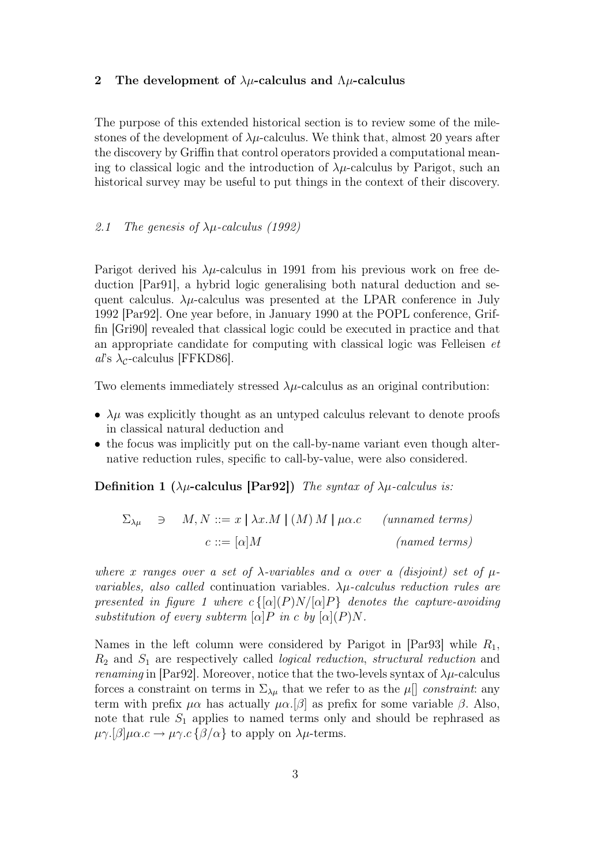#### 2 The development of  $\lambda \mu$ -calculus and  $\Lambda \mu$ -calculus

The purpose of this extended historical section is to review some of the milestones of the development of  $\lambda\mu$ -calculus. We think that, almost 20 years after the discovery by Griffin that control operators provided a computational meaning to classical logic and the introduction of  $\lambda \mu$ -calculus by Parigot, such an historical survey may be useful to put things in the context of their discovery.

#### 2.1 The genesis of  $\lambda \mu$ -calculus (1992)

Parigot derived his  $\lambda\mu$ -calculus in 1991 from his previous work on free deduction [Par91], a hybrid logic generalising both natural deduction and sequent calculus.  $\lambda \mu$ -calculus was presented at the LPAR conference in July 1992 [Par92]. One year before, in January 1990 at the POPL conference, Griffin [Gri90] revealed that classical logic could be executed in practice and that an appropriate candidate for computing with classical logic was Felleisen et  $a\textit{l}'\text{s} \lambda_c$ -calculus [FFKD86].

Two elements immediately stressed  $\lambda\mu$ -calculus as an original contribution:

- $\lambda \mu$  was explicitly thought as an untyped calculus relevant to denote proofs in classical natural deduction and
- the focus was implicitly put on the call-by-name variant even though alternative reduction rules, specific to call-by-value, were also considered.

Definition 1 ( $\lambda \mu$ -calculus [Par92]) The syntax of  $\lambda \mu$ -calculus is:

|  | $\Sigma_{\lambda\mu} \quad \ni \quad M, N ::= x \mid \lambda x.M \mid (M) M \mid \mu\alpha.c$ | $(unnamed \ terms)$ |
|--|-----------------------------------------------------------------------------------------------|---------------------|
|  | $c ::= [\alpha]M$                                                                             | $(named \ terms)$   |

where x ranges over a set of  $\lambda$ -variables and  $\alpha$  over a (disjoint) set of  $\mu$ variables, also called continuation variables.  $\lambda \mu$ -calculus reduction rules are presented in figure 1 where  $c\{[\alpha](P)N/[\alpha]P\}$  denotes the capture-avoiding substitution of every subterm  $\alpha | P$  in c by  $\alpha | (P)N$ .

Names in the left column were considered by Parigot in  $|Par93|$  while  $R_1$ ,  $R_2$  and  $S_1$  are respectively called *logical reduction, structural reduction* and *renaming* in [Par92]. Moreover, notice that the two-levels syntax of  $\lambda \mu$ -calculus forces a constraint on terms in  $\Sigma_{\lambda\mu}$  that we refer to as the  $\mu$ <sup>[]</sup> constraint: any term with prefix  $\mu \alpha$  has actually  $\mu \alpha$ .[β] as prefix for some variable  $\beta$ . Also, note that rule  $S_1$  applies to named terms only and should be rephrased as  $\mu\gamma.[\beta]\mu\alpha.c \rightarrow \mu\gamma.c\{\beta/\alpha\}$  to apply on  $\lambda\mu$ -terms.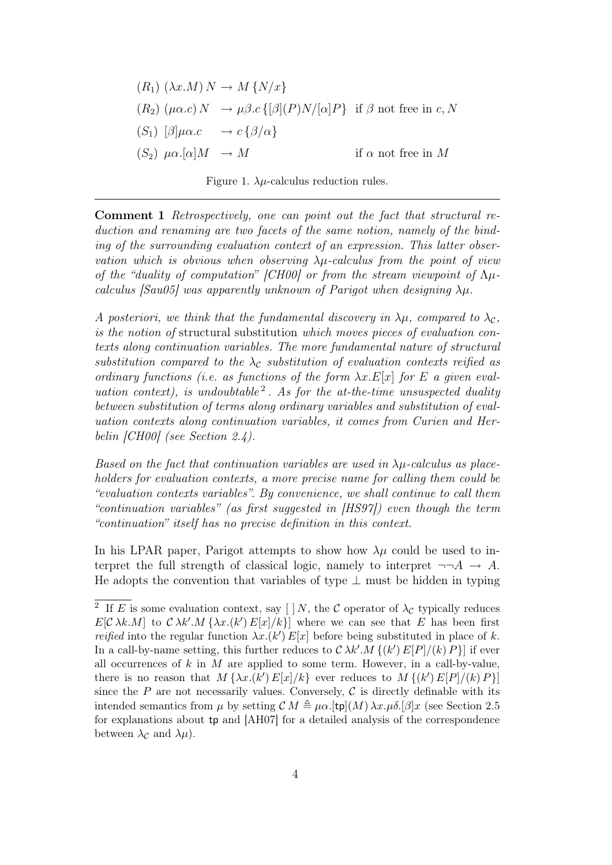$$
(R_1) (\lambda x.M) N \to M \{N/x\}
$$
  
\n
$$
(R_2) (\mu \alpha.c) N \to \mu \beta.c \{[\beta](P)N/[\alpha]P\}
$$
 if  $\beta$  not free in  $c, N$   
\n
$$
(S_1) [\beta]\mu \alpha.c \to c \{\beta/\alpha\}
$$
  
\n
$$
(S_2) \mu \alpha.[\alpha]M \to M
$$
 if  $\alpha$  not free in  $M$ 

Figure 1.  $\lambda \mu$ -calculus reduction rules.

Comment 1 Retrospectively, one can point out the fact that structural reduction and renaming are two facets of the same notion, namely of the binding of the surrounding evaluation context of an expression. This latter observation which is obvious when observing  $\lambda \mu$ -calculus from the point of view of the "duality of computation" [CH00] or from the stream viewpoint of  $\Lambda \mu$ calculus [Sau05] was apparently unknown of Parigot when designing  $\lambda \mu$ .

A posteriori, we think that the fundamental discovery in  $\lambda \mu$ , compared to  $\lambda_c$ , is the notion of structural substitution which moves pieces of evaluation contexts along continuation variables. The more fundamental nature of structural substitution compared to the  $\lambda_c$  substitution of evaluation contexts reified as ordinary functions (i.e. as functions of the form  $\lambda x.E[x]$  for E a given evaluation context), is undoubtable<sup>2</sup>. As for the at-the-time unsuspected duality between substitution of terms along ordinary variables and substitution of evaluation contexts along continuation variables, it comes from Curien and Herbelin [CH00] (see Section 2.4).

Based on the fact that continuation variables are used in  $\lambda \mu$ -calculus as placeholders for evaluation contexts, a more precise name for calling them could be "evaluation contexts variables". By convenience, we shall continue to call them "continuation variables" (as first suggested in [HS97]) even though the term "continuation" itself has no precise definition in this context.

In his LPAR paper, Parigot attempts to show how  $\lambda\mu$  could be used to interpret the full strength of classical logic, namely to interpret  $\neg\neg A \rightarrow A$ . He adopts the convention that variables of type  $\perp$  must be hidden in typing

<sup>&</sup>lt;sup>2</sup> If E is some evaluation context, say  $[ ]N,$  the C operator of  $\lambda_{\mathcal{C}}$  typically reduces  $E[\mathcal{C} \lambda k.M]$  to  $\mathcal{C} \lambda k'.M \{\lambda x.(k')E[x]/k\}]$  where we can see that E has been first *reified* into the regular function  $\lambda x.(k') E[x]$  before being substituted in place of k. In a call-by-name setting, this further reduces to  $\mathcal{C} \lambda k'.M \{(k') E[P]/(k) P\}]$  if ever all occurrences of  $k$  in  $M$  are applied to some term. However, in a call-by-value, there is no reason that  $M\{\lambda x.(k')E[x]/k\}$  ever reduces to  $M\{(k')E[P]/(k)P\}$ since the  $P$  are not necessarily values. Conversely,  $C$  is directly definable with its intended semantics from  $\mu$  by setting  $\mathcal{C} M \triangleq \mu \alpha$ .[tp](M)  $\lambda x.\mu \delta$ .[ $\beta$ ]x (see Section 2.5 for explanations about tp and [AH07] for a detailed analysis of the correspondence between  $\lambda_{\mathcal{C}}$  and  $\lambda\mu$ ).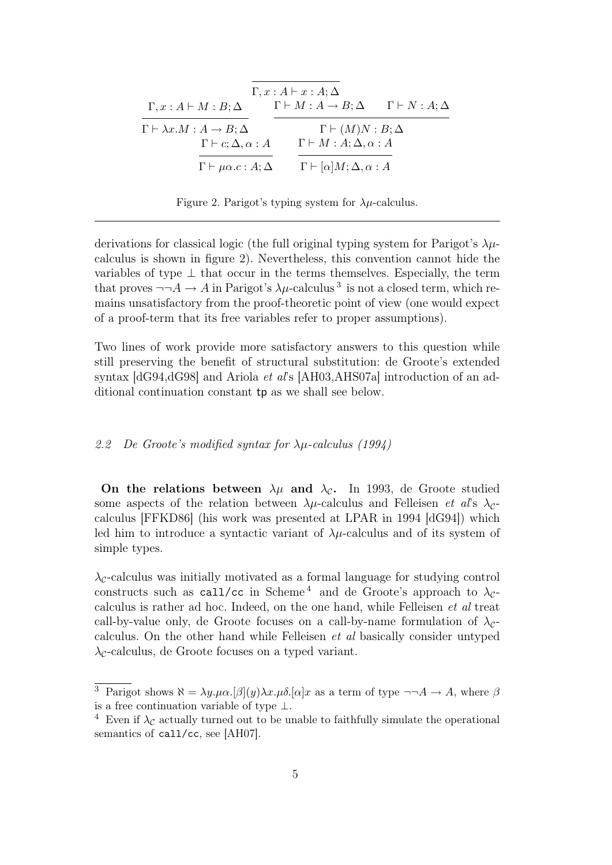|                                               | $\Gamma, x:A \vdash x:A; \Delta$              |                                |
|-----------------------------------------------|-----------------------------------------------|--------------------------------|
| $\Gamma, x:A \vdash M:B;\Delta$               | $\Gamma \vdash M : A \rightarrow B : \Delta$  | $\Gamma \vdash N : A : \Delta$ |
| $\Gamma \vdash \lambda x.M : A \to B; \Delta$ | $\Gamma \vdash (M)N : B; \Delta$              |                                |
| $\Gamma \vdash c; \Delta, \alpha : A$         | $\Gamma \vdash M : A; \Delta, \alpha : A$     |                                |
| $\Gamma \vdash \mu \alpha.c : A; \Delta$      | $\Gamma \vdash [\alpha]M; \Delta, \alpha : A$ |                                |

Figure 2. Parigot's typing system for  $\lambda \mu$ -calculus.

derivations for classical logic (the full original typing system for Parigot's  $\lambda \mu$ calculus is shown in figure 2). Nevertheless, this convention cannot hide the variables of type  $\perp$  that occur in the terms themselves. Especially, the term that proves  $\neg\neg A \rightarrow A$  in Parigot's  $\lambda \mu$ -calculus<sup>3</sup> is not a closed term, which remains unsatisfactory from the proof-theoretic point of view (one would expect of a proof-term that its free variables refer to proper assumptions).

Two lines of work provide more satisfactory answers to this question while still preserving the benefit of structural substitution: de Groote's extended syntax  $[dG94, dG98]$  and Ariola *et als* [AH03,AHS07a] introduction of an additional continuation constant tp as we shall see below.

#### 2.2 De Groote's modified syntax for λµ-calculus (1994)

On the relations between  $\lambda \mu$  and  $\lambda_c$ . In 1993, de Groote studied some aspects of the relation between  $\lambda \mu$ -calculus and Felleisen *et al's*  $\lambda_c$ calculus [FFKD86] (his work was presented at LPAR in 1994 [dG94]) which led him to introduce a syntactic variant of  $\lambda \mu$ -calculus and of its system of simple types.

 $\lambda_c$ -calculus was initially motivated as a formal language for studying control constructs such as call/cc in Scheme<sup>4</sup> and de Groote's approach to  $\lambda_c$ calculus is rather ad hoc. Indeed, on the one hand, while Felleisen et al treat call-by-value only, de Groote focuses on a call-by-name formulation of  $\lambda_c$ calculus. On the other hand while Felleisen et al basically consider untyped  $\lambda_c$ -calculus, de Groote focuses on a typed variant.

<sup>&</sup>lt;sup>3</sup> Parigot shows  $\aleph = \lambda y.\mu\alpha.[\beta](y)\lambda x.\mu\delta.[\alpha]x$  as a term of type  $\neg\neg A \rightarrow A$ , where  $\beta$ is a free continuation variable of type  $\perp$ .

<sup>&</sup>lt;sup>4</sup> Even if  $\lambda_c$  actually turned out to be unable to faithfully simulate the operational semantics of call/cc, see [AH07].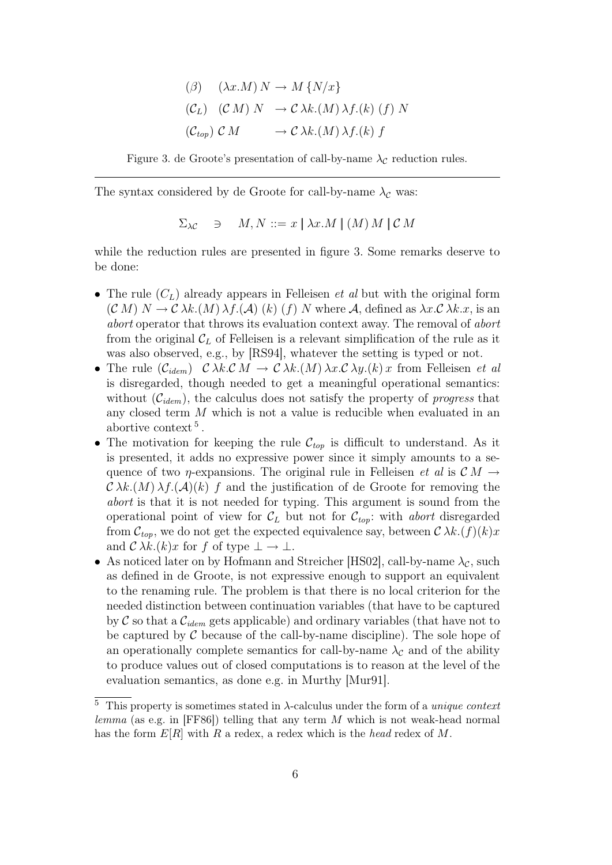$$
\begin{aligned}\n(\beta) \quad & (\lambda x.M) \, N \to M \, \{N/x\} \\
(\mathcal{C}_L) \quad & (\mathcal{C} \, M) \, N \quad \to \mathcal{C} \, \lambda k. \, (M) \, \lambda f. \, (k) \, (f) \, N \\
(\mathcal{C}_{top}) \, \mathcal{C} \, M \quad \longrightarrow \mathcal{C} \, \lambda k. \, (M) \, \lambda f. \, (k) \, f\n\end{aligned}
$$

Figure 3. de Groote's presentation of call-by-name  $\lambda_{\mathcal{C}}$  reduction rules.

The syntax considered by de Groote for call-by-name  $\lambda_c$  was:

$$
\Sigma_{\lambda C} \quad \ni \quad M, N ::= x \mid \lambda x.M \mid (M) M \mid \mathcal{C} M
$$

while the reduction rules are presented in figure 3. Some remarks deserve to be done:

- The rule  $(C_L)$  already appears in Felleisen *et al* but with the original form  $(C M) N \to C \lambda k. (M) \lambda f. (\mathcal{A}) (k) (f) N$  where A, defined as  $\lambda x. C \lambda k. x$ , is an abort operator that throws its evaluation context away. The removal of abort from the original  $\mathcal{C}_L$  of Felleisen is a relevant simplification of the rule as it was also observed, e.g., by [RS94], whatever the setting is typed or not.
- The rule  $(\mathcal{C}_{idem})$   $\mathcal{C} \lambda k \mathcal{C} M \to \mathcal{C} \lambda k \mathcal{A} (M) \lambda x \mathcal{C} \lambda y \mathcal{A} (k) x$  from Felleisen et al is disregarded, though needed to get a meaningful operational semantics: without  $(\mathcal{C}_{idem})$ , the calculus does not satisfy the property of *progress* that any closed term M which is not a value is reducible when evaluated in an abortive context<sup>5</sup>.
- The motivation for keeping the rule  $\mathcal{C}_{top}$  is difficult to understand. As it is presented, it adds no expressive power since it simply amounts to a sequence of two  $\eta$ -expansions. The original rule in Felleisen *et al* is  $\mathcal{C} M \rightarrow$  $\mathcal{C} \lambda k.(M) \lambda f.(\mathcal{A})(k) f$  and the justification of de Groote for removing the abort is that it is not needed for typing. This argument is sound from the operational point of view for  $\mathcal{C}_L$  but not for  $\mathcal{C}_{top}$ : with abort disregarded from  $\mathcal{C}_{top}$ , we do not get the expected equivalence say, between  $\mathcal{C}\lambda k.(f)(k)x$ and  $\mathcal{C} \lambda k.(k)x$  for f of type  $\bot \to \bot$ .
- As noticed later on by Hofmann and Streicher [HS02], call-by-name  $\lambda_{\mathcal{C}}$ , such as defined in de Groote, is not expressive enough to support an equivalent to the renaming rule. The problem is that there is no local criterion for the needed distinction between continuation variables (that have to be captured by C so that a  $\mathcal{C}_{idem}$  gets applicable) and ordinary variables (that have not to be captured by  $\mathcal C$  because of the call-by-name discipline). The sole hope of an operationally complete semantics for call-by-name  $\lambda_c$  and of the ability to produce values out of closed computations is to reason at the level of the evaluation semantics, as done e.g. in Murthy [Mur91].

<sup>&</sup>lt;sup>5</sup> This property is sometimes stated in  $\lambda$ -calculus under the form of a *unique context* lemma (as e.g. in [FF86]) telling that any term  $M$  which is not weak-head normal has the form  $E[R]$  with R a redex, a redex which is the head redex of M.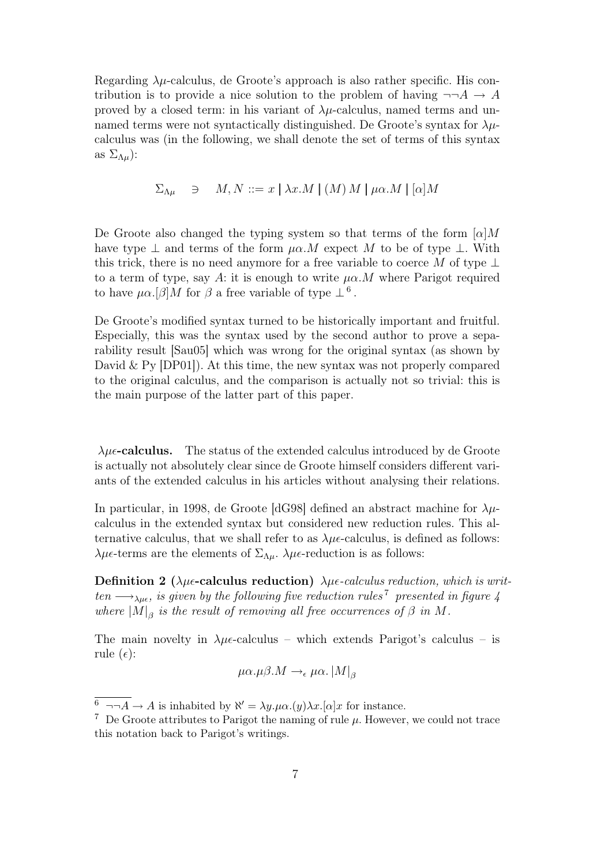Regarding  $\lambda \mu$ -calculus, de Groote's approach is also rather specific. His contribution is to provide a nice solution to the problem of having  $\neg\neg A \rightarrow A$ proved by a closed term: in his variant of  $\lambda \mu$ -calculus, named terms and unnamed terms were not syntactically distinguished. De Groote's syntax for  $\lambda \mu$ calculus was (in the following, we shall denote the set of terms of this syntax as  $\Sigma_{\Lambda\mu}$ ):

$$
\Sigma_{\Lambda\mu} \quad \ni \quad M, N ::= x \mid \lambda x.M \mid (M) M \mid \mu \alpha.M \mid [\alpha]M
$$

De Groote also changed the typing system so that terms of the form  $\alpha|M$ have type  $\perp$  and terms of the form  $\mu\alpha.M$  expect M to be of type  $\perp$ . With this trick, there is no need anymore for a free variable to coerce M of type  $\perp$ to a term of type, say A: it is enough to write  $\mu \alpha$ . M where Parigot required to have  $\mu \alpha. [\beta] M$  for  $\beta$  a free variable of type  $\perp^6$ .

De Groote's modified syntax turned to be historically important and fruitful. Especially, this was the syntax used by the second author to prove a separability result [Sau05] which was wrong for the original syntax (as shown by David  $\&$  Py [DP01]). At this time, the new syntax was not properly compared to the original calculus, and the comparison is actually not so trivial: this is the main purpose of the latter part of this paper.

 $\lambda \mu \epsilon$ -calculus. The status of the extended calculus introduced by de Groote is actually not absolutely clear since de Groote himself considers different variants of the extended calculus in his articles without analysing their relations.

In particular, in 1998, de Groote [dG98] defined an abstract machine for  $\lambda \mu$ calculus in the extended syntax but considered new reduction rules. This alternative calculus, that we shall refer to as  $\lambda \mu \epsilon$ -calculus, is defined as follows:  $\lambda \mu \epsilon$ -terms are the elements of  $\Sigma_{\Lambda \mu}$ .  $\lambda \mu \epsilon$ -reduction is as follows:

Definition 2 ( $\lambda \mu \epsilon$ -calculus reduction)  $\lambda \mu \epsilon$ -calculus reduction, which is written  $\longrightarrow_{\lambda\mu\epsilon}$ , is given by the following five reduction rules<sup>7</sup> presented in figure 4 where  $|M|_{\beta}$  is the result of removing all free occurrences of  $\beta$  in M.

The main novelty in  $\lambda\mu\epsilon$ -calculus – which extends Parigot's calculus – is rule  $(\epsilon)$ :

$$
\mu\alpha.\mu\beta.M \to_{\epsilon} \mu\alpha.\left|M\right|_{\beta}
$$

 $\delta \rightarrow A \rightarrow A$  is inhabited by  $\aleph' = \lambda y.\mu\alpha.(y)\lambda x.[\alpha]x$  for instance.

<sup>&</sup>lt;sup>7</sup> De Groote attributes to Parigot the naming of rule  $\mu$ . However, we could not trace this notation back to Parigot's writings.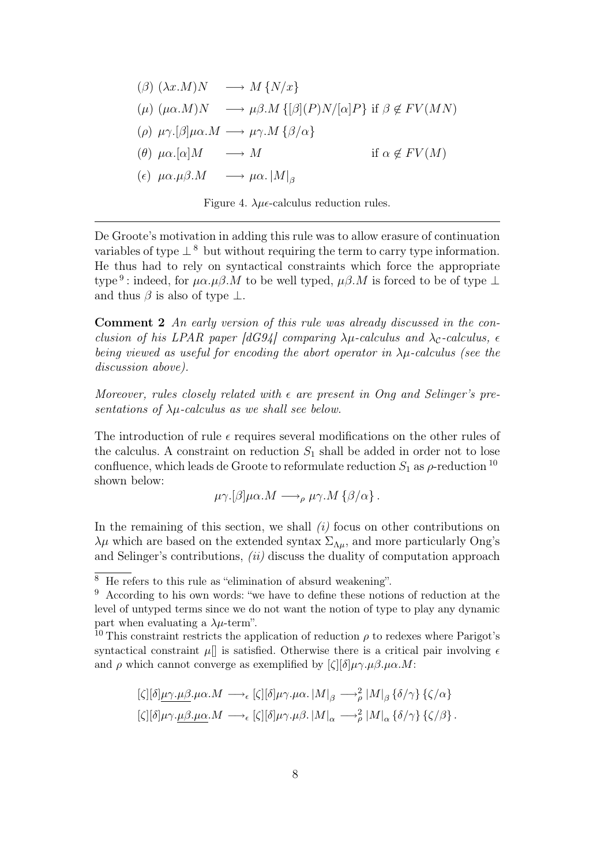$$
(\beta) (\lambda x.M)N \longrightarrow M \{N/x\}
$$
  
\n
$$
(\mu) (\mu \alpha.M)N \longrightarrow \mu \beta.M \{[\beta](P)N/[\alpha]P\} \text{ if } \beta \notin FV(MN)
$$
  
\n
$$
(\rho) \mu \gamma.[\beta] \mu \alpha.M \longrightarrow \mu \gamma.M \{ \beta/\alpha\}
$$
  
\n
$$
(\theta) \mu \alpha.[\alpha]M \longrightarrow M \text{ if } \alpha \notin FV(M)
$$
  
\n
$$
(\epsilon) \mu \alpha.\mu \beta.M \longrightarrow \mu \alpha. |M|_{\beta}
$$

Figure 4.  $\lambda \mu \epsilon$ -calculus reduction rules.

De Groote's motivation in adding this rule was to allow erasure of continuation variables of type  $\perp^8$  but without requiring the term to carry type information. He thus had to rely on syntactical constraints which force the appropriate type<sup>9</sup>: indeed, for  $\mu\alpha.\mu\beta.M$  to be well typed,  $\mu\beta.M$  is forced to be of type  $\bot$ and thus  $\beta$  is also of type  $\bot$ .

Comment 2 An early version of this rule was already discussed in the conclusion of his LPAR paper [dG94] comparing  $\lambda \mu$ -calculus and  $\lambda_c$ -calculus,  $\epsilon$ being viewed as useful for encoding the abort operator in  $\lambda \mu$ -calculus (see the discussion above).

Moreover, rules closely related with  $\epsilon$  are present in Ong and Selinger's presentations of  $\lambda\mu$ -calculus as we shall see below.

The introduction of rule  $\epsilon$  requires several modifications on the other rules of the calculus. A constraint on reduction  $S_1$  shall be added in order not to lose confluence, which leads de Groote to reformulate reduction  $S_1$  as  $\rho$ -reduction  $^{10}$ shown below:

$$
\mu \gamma. [\beta] \mu \alpha. M \longrightarrow_{\rho} \mu \gamma. M \{\beta/\alpha\}.
$$

In the remaining of this section, we shall  $(i)$  focus on other contributions on  $\lambda\mu$  which are based on the extended syntax  $\Sigma_{\Lambda\mu}$ , and more particularly Ong's and Selinger's contributions, (ii) discuss the duality of computation approach

$$
\begin{aligned} [\zeta][\delta]\underline{\mu\gamma.\mu\beta.\mu\alpha.M} &\longrightarrow_{\epsilon} [\zeta][\delta]\mu\gamma.\mu\alpha.\left|M\right|_{\beta} \longrightarrow_{\rho}^2 |M|_{\beta} {\delta/\gamma} {\zeta/\alpha} \\ [\zeta][\delta]\mu\gamma.\underline{\mu\beta.\mu\alpha}.M &\longrightarrow_{\epsilon} [\zeta][\delta]\mu\gamma.\mu\beta.\left|M\right|_{\alpha} \longrightarrow_{\rho}^2 |M|_{\alpha} {\delta/\gamma} {\zeta/\beta}. \end{aligned}
$$

 $\overline{8}$  He refers to this rule as "elimination of absurd weakening".

 $9$  According to his own words: "we have to define these notions of reduction at the level of untyped terms since we do not want the notion of type to play any dynamic part when evaluating a  $\lambda \mu$ -term".

<sup>&</sup>lt;sup>10</sup> This constraint restricts the application of reduction  $\rho$  to redexes where Parigot's syntactical constraint  $\mu$ [] is satisfied. Otherwise there is a critical pair involving  $\epsilon$ and  $\rho$  which cannot converge as exemplified by  $\lbrack \zeta \rbrack \lbrack \delta \rbrack \mu \gamma. \mu \beta. \mu \alpha. M$ :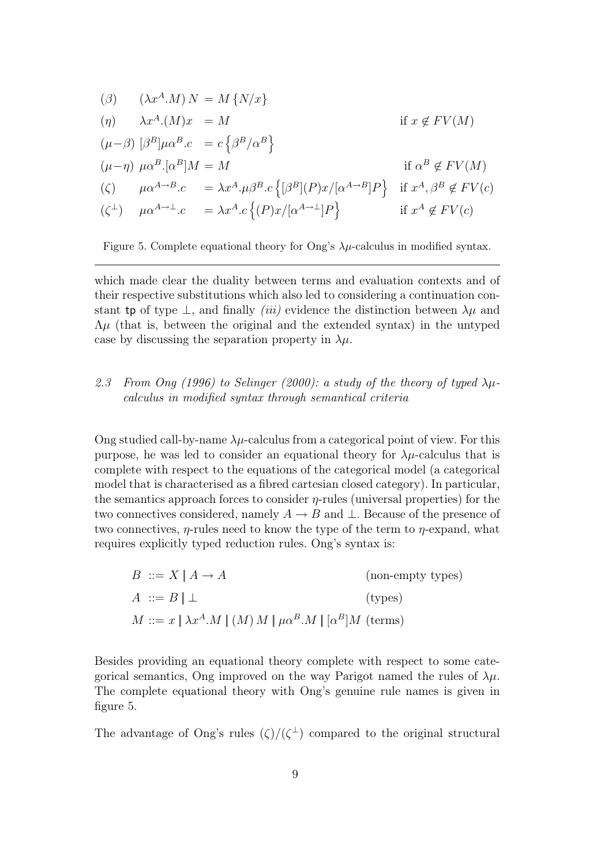$$
\begin{aligned}\n(\beta) \quad & (\lambda x^A \cdot M) \, N = M \{ N/x \} \\
(\eta) \quad & \lambda x^A \cdot (M)x = M \qquad \text{if } x \notin FV(M) \\
(\mu - \beta) \, [\beta^B] \mu \alpha^B \cdot c = c \left\{ \beta^B / \alpha^B \right\} \\
(\mu - \eta) \, \mu \alpha^B \cdot [\alpha^B] M = M \qquad \text{if } \alpha^B \notin FV(M) \\
(\zeta) \quad & \mu \alpha^{A \to B} \cdot c = \lambda x^A \cdot \mu \beta^B \cdot c \left\{ [\beta^B] (P) x / [\alpha^{A \to B}] P \right\} \quad \text{if } x^A, \beta^B \notin FV(c) \\
(\zeta^{\perp}) \quad & \mu \alpha^{A \to \perp} \cdot c = \lambda x^A \cdot c \left\{ (P) x / [\alpha^{A \to \perp}] P \right\} \qquad \text{if } x^A \notin FV(c)\n\end{aligned}
$$

Figure 5. Complete equational theory for Ong's  $\lambda \mu$ -calculus in modified syntax.

which made clear the duality between terms and evaluation contexts and of their respective substitutions which also led to considering a continuation constant tp of type  $\perp$ , and finally *(iii)* evidence the distinction between  $\lambda \mu$  and  $\Lambda\mu$  (that is, between the original and the extended syntax) in the untyped case by discussing the separation property in  $\lambda \mu$ .

## 2.3 From Ong (1996) to Selinger (2000): a study of the theory of typed  $\lambda \mu$ calculus in modified syntax through semantical criteria

Ong studied call-by-name  $\lambda \mu$ -calculus from a categorical point of view. For this purpose, he was led to consider an equational theory for  $\lambda \mu$ -calculus that is complete with respect to the equations of the categorical model (a categorical model that is characterised as a fibred cartesian closed category). In particular, the semantics approach forces to consider  $\eta$ -rules (universal properties) for the two connectives considered, namely  $A \to B$  and  $\bot$ . Because of the presence of two connectives,  $\eta$ -rules need to know the type of the term to  $\eta$ -expand, what requires explicitly typed reduction rules. Ong's syntax is:

$$
B ::= X | A \rightarrow A \qquad \qquad \text{(non-empty types)}
$$
  
\n
$$
A ::= B | \perp \qquad \qquad \text{(types)}
$$
  
\n
$$
M ::= x | \lambda x^{A}.M | (M) M | \mu \alpha^{B}.M | [\alpha^{B}]M \text{ (terms)}
$$

Besides providing an equational theory complete with respect to some categorical semantics, Ong improved on the way Parigot named the rules of  $\lambda \mu$ . The complete equational theory with Ong's genuine rule names is given in figure 5.

The advantage of Ong's rules  $(\zeta)/(\zeta^{\perp})$  compared to the original structural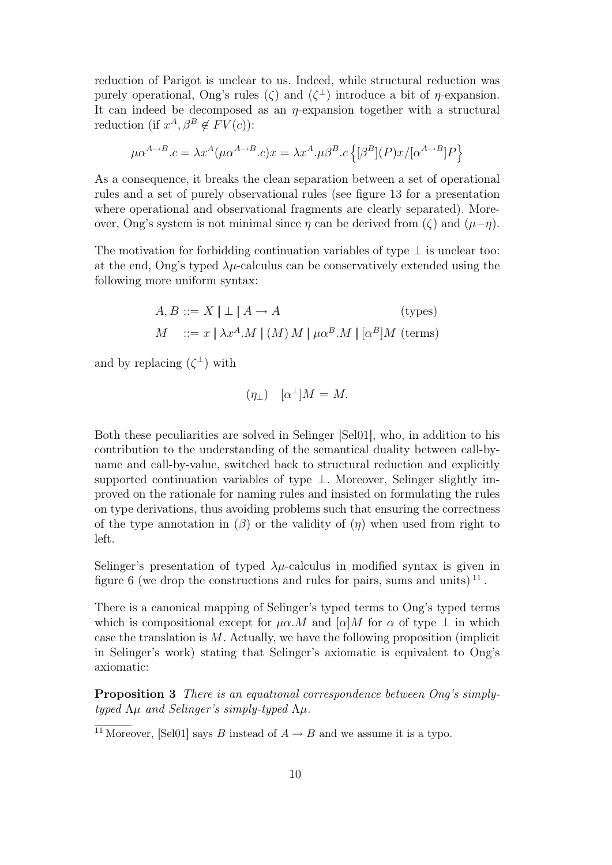reduction of Parigot is unclear to us. Indeed, while structural reduction was purely operational, Ong's rules ( $\zeta$ ) and  $(\zeta^{\perp})$  introduce a bit of  $\eta$ -expansion. It can indeed be decomposed as an  $\eta$ -expansion together with a structural reduction (if  $x^A, \beta^B \notin FV(c)$ ):

$$
\mu\alpha^{A\rightarrow B}.c=\lambda x^A(\mu\alpha^{A\rightarrow B}.c)x=\lambda x^A.\mu\beta^B.c\left\{[\beta^B](P)x/[\alpha^{A\rightarrow B}]P\right\}
$$

As a consequence, it breaks the clean separation between a set of operational rules and a set of purely observational rules (see figure 13 for a presentation where operational and observational fragments are clearly separated). Moreover, Ong's system is not minimal since  $\eta$  can be derived from ( $\zeta$ ) and  $(\mu-\eta)$ .

The motivation for forbidding continuation variables of type  $\perp$  is unclear too: at the end, Ong's typed  $\lambda\mu$ -calculus can be conservatively extended using the following more uniform syntax:

$$
A, B ::= X \mid \perp \mid A \to A \qquad \qquad \text{(types)}
$$
  

$$
M ::= x \mid \lambda x^A.M \mid (M) M \mid \mu \alpha^B.M \mid [\alpha^B]M \text{ (terms)}
$$

and by replacing  $(\zeta^{\perp})$  with

$$
(\eta_{\perp}) \quad [\alpha^{\perp}]M = M.
$$

Both these peculiarities are solved in Selinger [Sel01], who, in addition to his contribution to the understanding of the semantical duality between call-byname and call-by-value, switched back to structural reduction and explicitly supported continuation variables of type ⊥. Moreover, Selinger slightly improved on the rationale for naming rules and insisted on formulating the rules on type derivations, thus avoiding problems such that ensuring the correctness of the type annotation in  $(\beta)$  or the validity of  $(\eta)$  when used from right to left.

Selinger's presentation of typed  $\lambda\mu$ -calculus in modified syntax is given in figure 6 (we drop the constructions and rules for pairs, sums and units)  $^{11}$ .

There is a canonical mapping of Selinger's typed terms to Ong's typed terms which is compositional except for  $\mu\alpha.M$  and  $\alpha|M$  for  $\alpha$  of type  $\perp$  in which case the translation is  $M$ . Actually, we have the following proposition (implicit in Selinger's work) stating that Selinger's axiomatic is equivalent to Ong's axiomatic:

Proposition 3 There is an equational correspondence between Ong's simplytyped  $\Lambda\mu$  and Selinger's simply-typed  $\Lambda\mu$ .

<sup>&</sup>lt;sup>11</sup> Moreover, [Sel01] says B instead of  $A \rightarrow B$  and we assume it is a typo.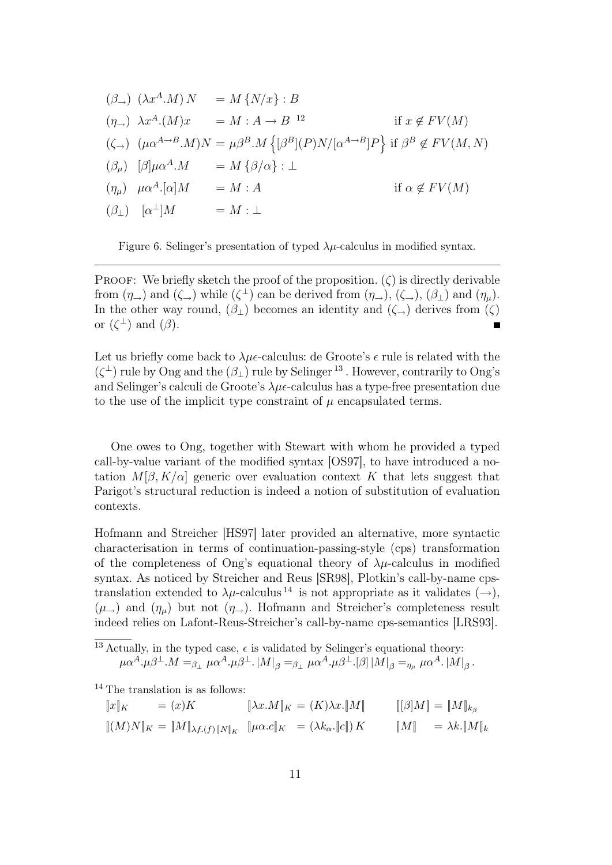$$
(\beta_{\rightarrow}) (\lambda x^{A}.M) N = M \{N/x\} : B
$$
  
\n
$$
(\eta_{\rightarrow}) \lambda x^{A}.(M)x = M : A \rightarrow B^{-12} \text{ if } x \notin FV(M)
$$
  
\n
$$
(\zeta_{\rightarrow}) (\mu \alpha^{A \rightarrow B}.M)N = \mu \beta^{B}.M \{ [\beta^{B}] (P)N/[\alpha^{A \rightarrow B}]P \} \text{ if } \beta^{B} \notin FV(M, N)
$$
  
\n
$$
(\beta_{\mu}) [\beta] \mu \alpha^{A}.M = M \{ \beta/\alpha \} : \bot
$$
  
\n
$$
(\eta_{\mu}) \mu \alpha^{A}.[\alpha]M = M : A \text{ if } \alpha \notin FV(M)
$$
  
\n
$$
(\beta_{\perp}) [\alpha^{\perp}]M = M : \bot
$$

Figure 6. Selinger's presentation of typed  $\lambda \mu$ -calculus in modified syntax.

PROOF: We briefly sketch the proof of the proposition.  $(\zeta)$  is directly derivable from  $(\eta_{\rightarrow})$  and  $(\zeta_{\rightarrow})$  while  $(\zeta^{\perp})$  can be derived from  $(\eta_{\rightarrow})$ ,  $(\zeta_{\rightarrow})$ ,  $(\beta_{\perp})$  and  $(\eta_{\mu})$ . In the other way round,  $(\beta_+)$  becomes an identity and  $(\zeta_+)$  derives from  $(\zeta)$ or  $(\zeta^{\perp})$  and  $(\beta)$ .

Let us briefly come back to  $\lambda \mu \epsilon$ -calculus: de Groote's  $\epsilon$  rule is related with the  $(\zeta^{\perp})$  rule by Ong and the  $(\beta_{\perp})$  rule by Selinger<sup>13</sup>. However, contrarily to Ong's and Selinger's calculi de Groote's  $\lambda \mu \epsilon$ -calculus has a type-free presentation due to the use of the implicit type constraint of  $\mu$  encapsulated terms.

One owes to Ong, together with Stewart with whom he provided a typed call-by-value variant of the modified syntax [OS97], to have introduced a notation  $M[\beta, K/\alpha]$  generic over evaluation context K that lets suggest that Parigot's structural reduction is indeed a notion of substitution of evaluation contexts.

Hofmann and Streicher [HS97] later provided an alternative, more syntactic characterisation in terms of continuation-passing-style (cps) transformation of the completeness of Ong's equational theory of  $\lambda\mu$ -calculus in modified syntax. As noticed by Streicher and Reus [SR98], Plotkin's call-by-name cpstranslation extended to  $\lambda \mu$ -calculus<sup>14</sup> is not appropriate as it validates ( $\rightarrow$ ),  $(\mu_{\rightarrow})$  and  $(\eta_{\mu})$  but not  $(\eta_{\rightarrow})$ . Hofmann and Streicher's completeness result indeed relies on Lafont-Reus-Streicher's call-by-name cps-semantics [LRS93].

 $\frac{13 \text{ Actually}}{13 \text{ Actually}}$ , in the typed case,  $\epsilon$  is validated by Selinger's equational theory:  $\mu\alpha^A.\mu\beta^\perp.M =_{\beta_\perp}\mu\alpha^A.\mu\beta^\perp.\left|M\right|_\beta =_{\beta_\perp}\mu\alpha^A.\mu\beta^\perp.\left[\beta\right]\left|M\right|_\beta =_{\eta\mu}\mu\alpha^A.\left|M\right|_\beta.$ 

<sup>14</sup> The translation is as follows:

$$
\|x\|_K = (x)K \qquad \|\lambda x.M\|_K = (K)\lambda x.\|M\| \qquad \|[{\beta}]M\| = \|M\|_{k_{{\beta}}}
$$
  

$$
\|(M)N\|_K = \|M\|_{\lambda f.(f)\|N\|_K} \quad \|\mu\alpha.c\|_K = (\lambda k_{\alpha}.\|c\|)K \qquad \|M\| = \lambda k.\|M\|_k
$$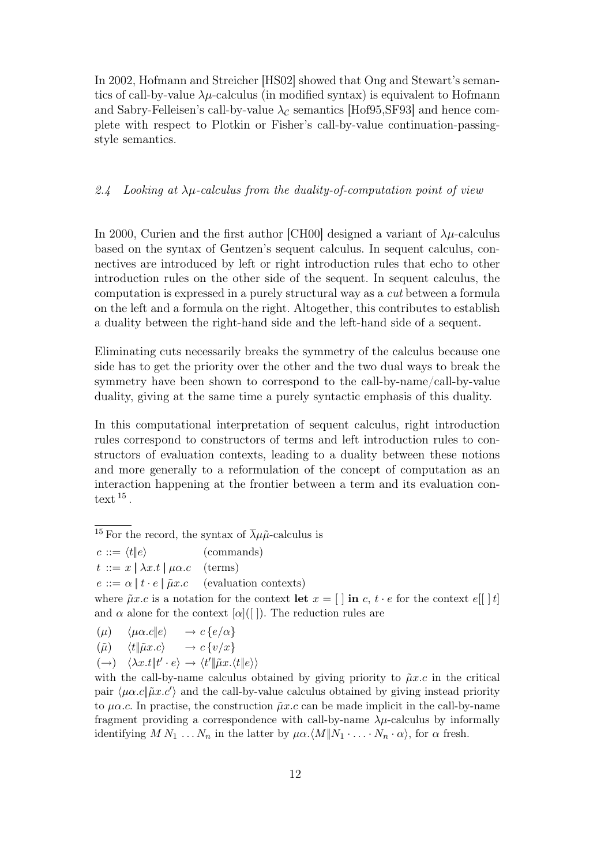In 2002, Hofmann and Streicher [HS02] showed that Ong and Stewart's semantics of call-by-value  $\lambda \mu$ -calculus (in modified syntax) is equivalent to Hofmann and Sabry-Felleisen's call-by-value  $\lambda_c$  semantics [Hof95,SF93] and hence complete with respect to Plotkin or Fisher's call-by-value continuation-passingstyle semantics.

#### 2.4 Looking at  $\lambda\mu$ -calculus from the duality-of-computation point of view

In 2000, Curien and the first author [CH00] designed a variant of  $\lambda \mu$ -calculus based on the syntax of Gentzen's sequent calculus. In sequent calculus, connectives are introduced by left or right introduction rules that echo to other introduction rules on the other side of the sequent. In sequent calculus, the computation is expressed in a purely structural way as a cut between a formula on the left and a formula on the right. Altogether, this contributes to establish a duality between the right-hand side and the left-hand side of a sequent.

Eliminating cuts necessarily breaks the symmetry of the calculus because one side has to get the priority over the other and the two dual ways to break the symmetry have been shown to correspond to the call-by-name/call-by-value duality, giving at the same time a purely syntactic emphasis of this duality.

In this computational interpretation of sequent calculus, right introduction rules correspond to constructors of terms and left introduction rules to constructors of evaluation contexts, leading to a duality between these notions and more generally to a reformulation of the concept of computation as an interaction happening at the frontier between a term and its evaluation context  $^{15}$ .

<sup>15</sup> For the record, the syntax of  $\overline{\lambda} \mu \tilde{\mu}$ -calculus is

 $c ::= \langle t | e \rangle$  (commands)  $t := x \, \vert \, \lambda x.t \, \vert \, \mu \alpha.c \quad \text{(terms)}$ 

 $e ::= \alpha | t \cdot e | \tilde{\mu} x.c$  (evaluation contexts)

where  $\tilde{\mu}x.c$  is a notation for the context let  $x = [\ ]$  in c,  $t \cdot e$  for the context  $e[[ \ ]t]$ and  $\alpha$  alone for the context  $[\alpha]$ ([]). The reduction rules are

 $(\mu) \quad \langle \mu \alpha.c||e \rangle \quad \rightarrow c \{e/\alpha\}$ 

$$
(\tilde{\mu}) \quad \langle t | \tilde{\mu}x.c \rangle \quad \rightarrow c \{v/x\}
$$

 $(\rightarrow) \quad \langle \lambda x. t | t' \cdot e \rangle \rightarrow \langle t' | \tilde{\mu} x. \langle t | e \rangle \rangle$ 

with the call-by-name calculus obtained by giving priority to  $\tilde{\mu}x.c$  in the critical pair  $\langle \mu \alpha.c | \tilde{\mu} x.c' \rangle$  and the call-by-value calculus obtained by giving instead priority to  $\mu \alpha$ .c. In practise, the construction  $\tilde{\mu}x$ .c can be made implicit in the call-by-name fragment providing a correspondence with call-by-name  $\lambda \mu$ -calculus by informally identifying  $M N_1 ... N_n$  in the latter by  $\mu \alpha \cdot \langle M \| N_1 \cdot ... \cdot N_n \cdot \alpha \rangle$ , for  $\alpha$  fresh.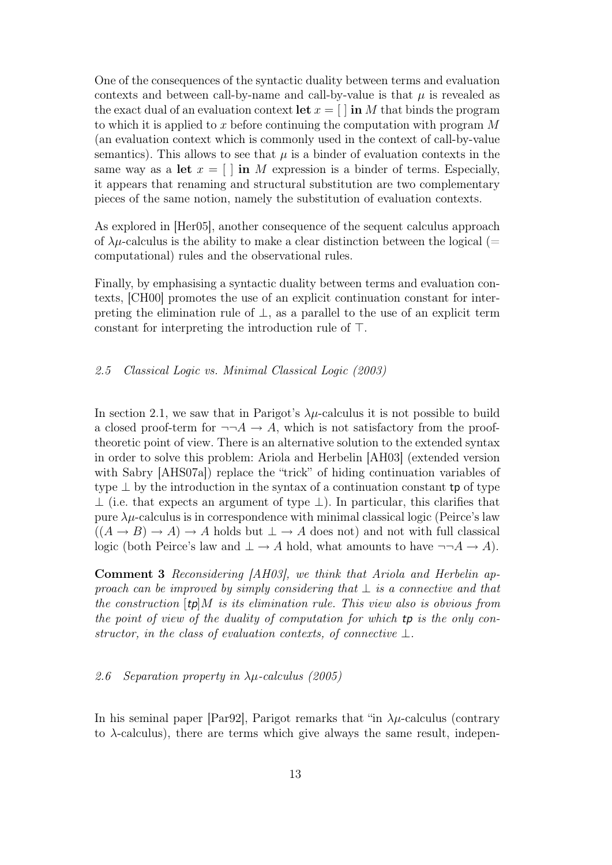One of the consequences of the syntactic duality between terms and evaluation contexts and between call-by-name and call-by-value is that  $\mu$  is revealed as the exact dual of an evaluation context let  $x = [ \ ]$  in M that binds the program to which it is applied to x before continuing the computation with program  $M$ (an evaluation context which is commonly used in the context of call-by-value semantics). This allows to see that  $\mu$  is a binder of evaluation contexts in the same way as a let  $x = \lceil \cdot \rceil$  in M expression is a binder of terms. Especially, it appears that renaming and structural substitution are two complementary pieces of the same notion, namely the substitution of evaluation contexts.

As explored in [Her05], another consequence of the sequent calculus approach of  $\lambda \mu$ -calculus is the ability to make a clear distinction between the logical (= computational) rules and the observational rules.

Finally, by emphasising a syntactic duality between terms and evaluation contexts, [CH00] promotes the use of an explicit continuation constant for interpreting the elimination rule of  $\perp$ , as a parallel to the use of an explicit term constant for interpreting the introduction rule of ⊤.

#### 2.5 Classical Logic vs. Minimal Classical Logic (2003)

In section 2.1, we saw that in Parigot's  $\lambda \mu$ -calculus it is not possible to build a closed proof-term for  $\neg\neg A \rightarrow A$ , which is not satisfactory from the prooftheoretic point of view. There is an alternative solution to the extended syntax in order to solve this problem: Ariola and Herbelin [AH03] (extended version with Sabry [AHS07a]) replace the "trick" of hiding continuation variables of type  $\perp$  by the introduction in the syntax of a continuation constant tp of type  $\perp$  (i.e. that expects an argument of type  $\perp$ ). In particular, this clarifies that pure  $\lambda\mu$ -calculus is in correspondence with minimal classical logic (Peirce's law  $((A \rightarrow B) \rightarrow A) \rightarrow A$  holds but  $\perp \rightarrow A$  does not) and not with full classical logic (both Peirce's law and  $\perp \to A$  hold, what amounts to have  $\neg\neg A \to A$ ).

Comment 3 Reconsidering [AH03], we think that Ariola and Herbelin approach can be improved by simply considering that  $\perp$  is a connective and that the construction  $[tp]$ M is its elimination rule. This view also is obvious from the point of view of the duality of computation for which tp is the only constructor, in the class of evaluation contexts, of connective  $\bot$ .

#### 2.6 Separation property in  $\lambda \mu$ -calculus (2005)

In his seminal paper [Par92], Parigot remarks that "in  $\lambda \mu$ -calculus (contrary to λ-calculus), there are terms which give always the same result, indepen-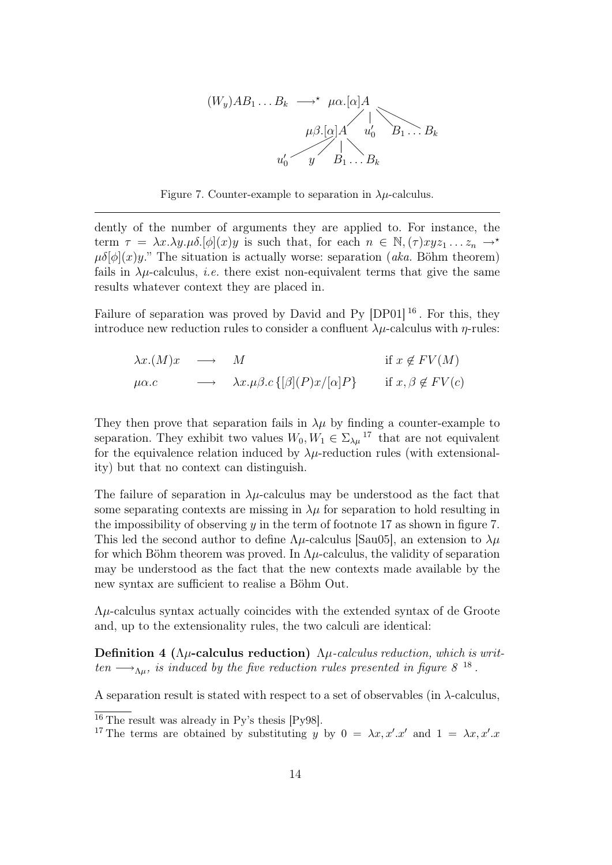

Figure 7. Counter-example to separation in  $\lambda \mu$ -calculus.

dently of the number of arguments they are applied to. For instance, the term  $\tau = \lambda x.\lambda y.\mu\delta$ .  $[\phi](x)y$  is such that, for each  $n \in \mathbb{N}, (\tau)xyz_1 \ldots z_n \rightarrow^*$  $\mu\delta[\phi](x)y$ ." The situation is actually worse: separation (*aka.* Böhm theorem) fails in  $\lambda \mu$ -calculus, *i.e.* there exist non-equivalent terms that give the same results whatever context they are placed in.

Failure of separation was proved by David and Py [DP01]<sup>16</sup>. For this, they introduce new reduction rules to consider a confluent  $\lambda \mu$ -calculus with  $\eta$ -rules:

$$
\lambda x.(M)x \longrightarrow M \quad \text{if } x \notin FV(M)
$$
  

$$
\mu \alpha.c \longrightarrow \lambda x.\mu \beta.c \{ [\beta](P)x/[\alpha]P \} \quad \text{if } x, \beta \notin FV(c)
$$

They then prove that separation fails in  $\lambda \mu$  by finding a counter-example to separation. They exhibit two values  $W_0, W_1 \in \Sigma_{\lambda \mu}$ <sup>17</sup> that are not equivalent for the equivalence relation induced by  $\lambda \mu$ -reduction rules (with extensionality) but that no context can distinguish.

The failure of separation in  $\lambda \mu$ -calculus may be understood as the fact that some separating contexts are missing in  $\lambda \mu$  for separation to hold resulting in the impossibility of observing y in the term of footnote 17 as shown in figure 7. This led the second author to define  $\Lambda \mu$ -calculus [Sau05], an extension to  $\lambda \mu$ for which Böhm theorem was proved. In  $\Lambda\mu$ -calculus, the validity of separation may be understood as the fact that the new contexts made available by the new syntax are sufficient to realise a Böhm Out.

 $\Lambda$  $\mu$ -calculus syntax actually coincides with the extended syntax of de Groote and, up to the extensionality rules, the two calculi are identical:

Definition 4 ( $\Lambda \mu$ -calculus reduction)  $\Lambda \mu$ -calculus reduction, which is written  $\longrightarrow_{\Lambda\mu}$ , is induced by the five reduction rules presented in figure 8<sup>18</sup>.

A separation result is stated with respect to a set of observables (in  $\lambda$ -calculus,

 $16$  The result was already in Py's thesis [Py98].

<sup>&</sup>lt;sup>17</sup> The terms are obtained by substituting y by  $0 = \lambda x, x'.x'$  and  $1 = \lambda x, x'.x$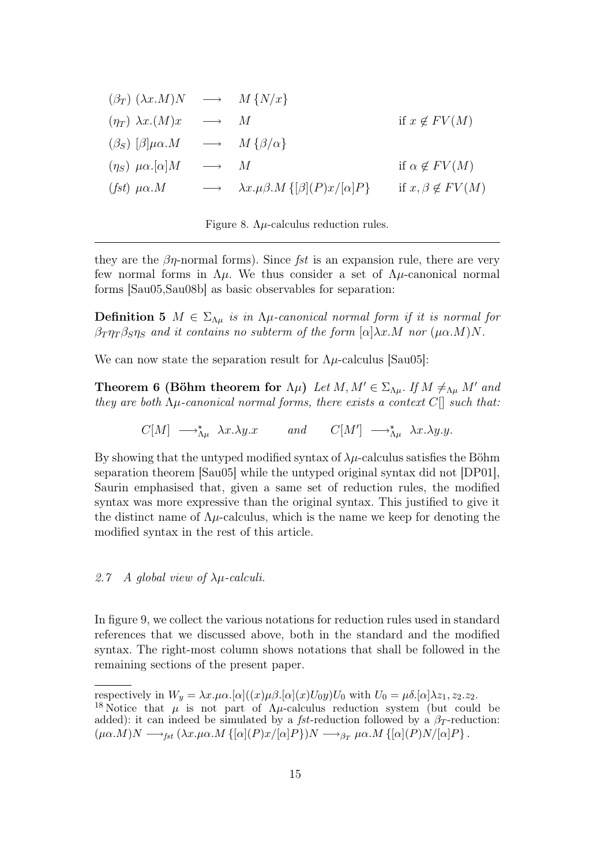| $(\beta_T)$ $(\lambda x.M)N \longrightarrow M\{N/x\}$ |                     |                                                                 |                            |
|-------------------------------------------------------|---------------------|-----------------------------------------------------------------|----------------------------|
| $(\eta_T) \lambda x.(M)x \longrightarrow M$           |                     |                                                                 | if $x \notin FV(M)$        |
| $(\beta_S)$ $[\beta]\mu\alpha.M$                      |                     | $\longrightarrow$ $M \{\beta/\alpha\}$                          |                            |
| $(\eta_S) \mu \alpha. [\alpha] M$                     | $\longrightarrow$ M |                                                                 | if $\alpha \notin FV(M)$   |
| $(fst)\ \mu\alpha.M$                                  |                     | $\longrightarrow \lambda x.\mu\beta.M\{[\beta](P)x/[\alpha]P\}$ | if $x, \beta \notin FV(M)$ |

Figure 8.  $\Lambda \mu$ -calculus reduction rules.

they are the  $\beta\eta$ -normal forms). Since fst is an expansion rule, there are very few normal forms in Λµ. We thus consider a set of Λµ-canonical normal forms [Sau05,Sau08b] as basic observables for separation:

**Definition 5**  $M \in \Sigma_{\Lambda\mu}$  is in  $\Lambda\mu$ -canonical normal form if it is normal for  $\beta_T \eta_T \beta_S \eta_S$  and it contains no subterm of the form  $[\alpha] \lambda x.M$  nor  $(\mu \alpha.M)N$ .

We can now state the separation result for  $\Lambda \mu$ -calculus [Sau05]:

**Theorem 6 (Böhm theorem for**  $\Lambda \mu$ ) Let  $M, M' \in \Sigma_{\Lambda \mu}$ . If  $M \neq_{\Lambda \mu} M'$  and they are both  $\Lambda \mu$ -canonical normal forms, there exists a context  $C[\]$  such that:

 $C[M] \longrightarrow_{\Lambda\mu}^{\star} \lambda x.\lambda y.x$  and  $C[M'] \longrightarrow_{\Lambda\mu}^{\star} \lambda x.\lambda y.y.$ 

By showing that the untyped modified syntax of  $\lambda \mu$ -calculus satisfies the Böhm separation theorem [Sau05] while the untyped original syntax did not [DP01], Saurin emphasised that, given a same set of reduction rules, the modified syntax was more expressive than the original syntax. This justified to give it the distinct name of  $\Lambda \mu$ -calculus, which is the name we keep for denoting the modified syntax in the rest of this article.

### 2.7 A global view of  $\lambda \mu$ -calculi.

In figure 9, we collect the various notations for reduction rules used in standard references that we discussed above, both in the standard and the modified syntax. The right-most column shows notations that shall be followed in the remaining sections of the present paper.

respectively in  $W_y = \lambda x.\mu\alpha.[\alpha]((x)\mu\beta.[\alpha](x)U_0y)U_0$  with  $U_0 = \mu\delta.[\alpha]\lambda z_1, z_2. z_2.$ <sup>18</sup> Notice that  $\mu$  is not part of  $\Lambda \mu$ -calculus reduction system (but could be added): it can indeed be simulated by a *fst*-reduction followed by a  $\beta_T$ -reduction:  $(\mu\alpha.M)N \longrightarrow_{fst} (\lambda x.\mu\alpha.M \{[\alpha](P)x/[\alpha]P\})N \longrightarrow_{\beta_T} \mu\alpha.M \{[\alpha](P)N/[\alpha]P\}.$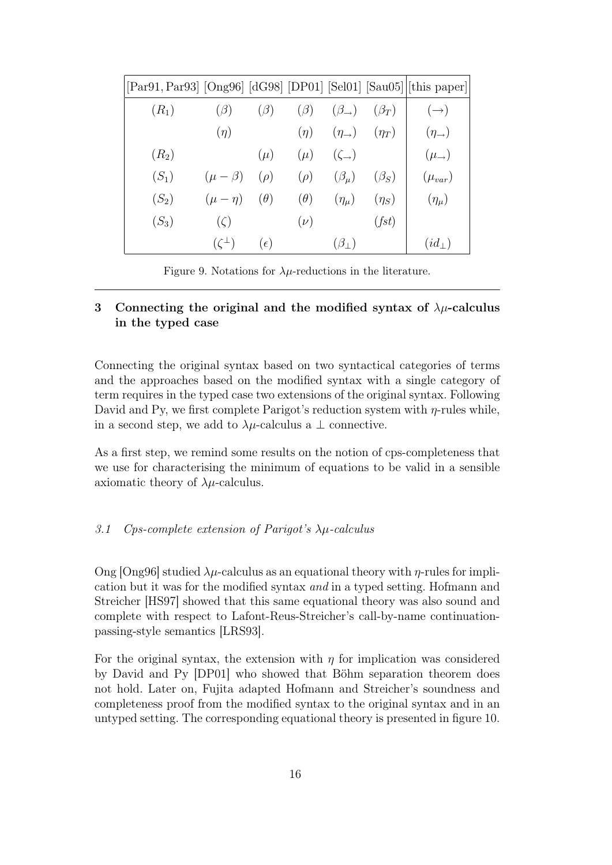| [Par91, Par93] [Ong96] [dG98] [DP01] [Sel01] [Sau05] [this paper] |                   |              |            |                         |             |                        |
|-------------------------------------------------------------------|-------------------|--------------|------------|-------------------------|-------------|------------------------|
| $(R_1)$                                                           | $(\beta)$         | $(\beta)$    | $(\beta)$  | $(\beta_{\rightarrow})$ | $(\beta_T)$ | $(\rightarrow)$        |
|                                                                   | $(\eta)$          |              | $(\eta)$   | $(\eta_{\rightarrow})$  | $(\eta_T)$  | $(\eta_{\rightarrow})$ |
| $(R_2)$                                                           |                   | $(\mu)$      | $(\mu)$    | $(\zeta_{\rightarrow})$ |             | $(\mu_{\rightarrow})$  |
| $(S_1)$                                                           | $(\mu - \beta)$   | $(\rho)$     | $(\rho)$   | $(\beta_\mu)$           | $(\beta_S)$ | $(\mu_{var})$          |
| $(S_2)$                                                           | $(\mu - \eta)$    | $(\theta)$   | $(\theta)$ | $(\eta_\mu)$            | $(\eta_S)$  | $(\eta_\mu)$           |
| $(S_3)$                                                           | $(\zeta)$         |              | $(\nu)$    |                         | (fst)       |                        |
|                                                                   | $(\zeta^{\perp})$ | $(\epsilon)$ |            | $(\beta_{\perp})$       |             | $(id_{\perp})$         |

Figure 9. Notations for  $\lambda \mu$ -reductions in the literature.

## 3 Connecting the original and the modified syntax of  $\lambda \mu$ -calculus in the typed case

Connecting the original syntax based on two syntactical categories of terms and the approaches based on the modified syntax with a single category of term requires in the typed case two extensions of the original syntax. Following David and Py, we first complete Parigot's reduction system with  $\eta$ -rules while, in a second step, we add to  $\lambda \mu$ -calculus a  $\bot$  connective.

As a first step, we remind some results on the notion of cps-completeness that we use for characterising the minimum of equations to be valid in a sensible axiomatic theory of  $\lambda \mu$ -calculus.

#### 3.1 Cps-complete extension of Parigot's  $\lambda \mu$ -calculus

Ong [Ong96] studied  $\lambda \mu$ -calculus as an equational theory with  $\eta$ -rules for implication but it was for the modified syntax and in a typed setting. Hofmann and Streicher [HS97] showed that this same equational theory was also sound and complete with respect to Lafont-Reus-Streicher's call-by-name continuationpassing-style semantics [LRS93].

For the original syntax, the extension with  $\eta$  for implication was considered by David and Py [DP01] who showed that Böhm separation theorem does not hold. Later on, Fujita adapted Hofmann and Streicher's soundness and completeness proof from the modified syntax to the original syntax and in an untyped setting. The corresponding equational theory is presented in figure 10.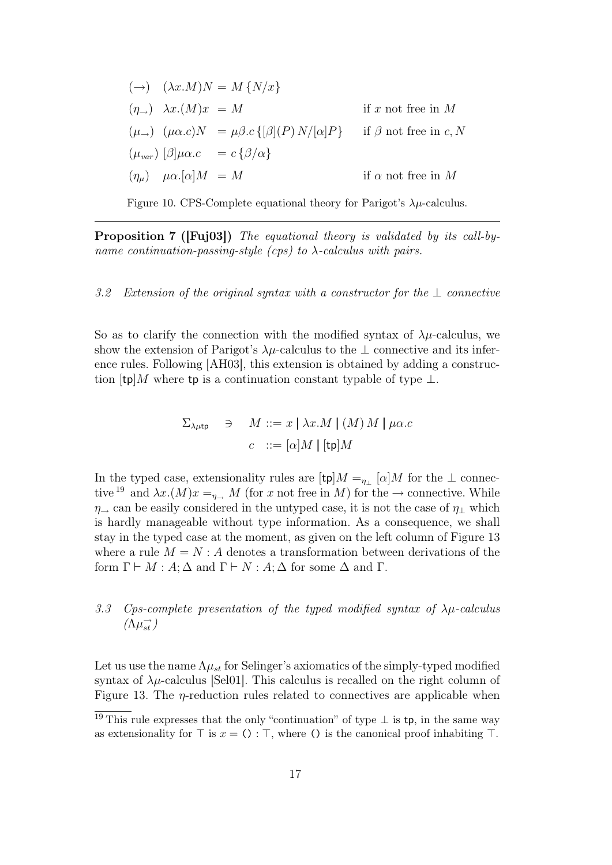$$
(\rightarrow) \quad (\lambda x.M)N = M \{N/x\}
$$
  
\n
$$
(\eta_{\rightarrow}) \quad \lambda x.(M)x = M \qquad \text{if } x \text{ not free in } M
$$
  
\n
$$
(\mu_{\rightarrow}) \quad (\mu \alpha.c)N = \mu \beta.c \{ [\beta](P) N/[\alpha]P \} \qquad \text{if } \beta \text{ not free in } c, N
$$
  
\n
$$
(\mu_{var}) \quad [\beta]\mu \alpha.c = c \{ \beta/\alpha \}
$$
  
\n
$$
(\eta_{\mu}) \quad \mu \alpha.[\alpha]M = M \qquad \text{if } \alpha \text{ not free in } M
$$

Figure 10. CPS-Complete equational theory for Parigot's  $\lambda \mu$ -calculus.

Proposition 7 ([Fuj03]) The equational theory is validated by its call-byname continuation-passing-style (cps) to  $\lambda$ -calculus with pairs.

#### 3.2 Extension of the original syntax with a constructor for the  $\perp$  connective

So as to clarify the connection with the modified syntax of  $\lambda \mu$ -calculus, we show the extension of Parigot's  $\lambda \mu$ -calculus to the  $\bot$  connective and its inference rules. Following [AH03], this extension is obtained by adding a construction  $[tp]M$  where tp is a continuation constant typable of type  $\perp$ .

$$
\Sigma_{\lambda\mu\mathsf{tp}} \quad \ni \quad M ::= x \mid \lambda x.M \mid (M) \, M \mid \mu\alpha.c
$$
\n
$$
c \quad ::= [\alpha] \, M \mid [\mathsf{tp}] \, M
$$

In the typed case, extensionality rules are  $[\text{tp}]M =_{\eta_{\perp}} [\alpha]M$  for the  $\perp$  connective <sup>19</sup> and  $\lambda x.(M)x =_{\eta_{\rightarrow}} M$  (for x not free in M) for the  $\rightarrow$  connective. While  $\eta_{\rightarrow}$  can be easily considered in the untyped case, it is not the case of  $\eta_{\perp}$  which is hardly manageable without type information. As a consequence, we shall stay in the typed case at the moment, as given on the left column of Figure 13 where a rule  $M = N : A$  denotes a transformation between derivations of the form  $\Gamma \vdash M : A$ ;  $\Delta$  and  $\Gamma \vdash N : A$ ;  $\Delta$  for some  $\Delta$  and  $\Gamma$ .

## 3.3 Cps-complete presentation of the typed modified syntax of  $\lambda \mu$ -calculus  $(\Lambda \mu_{st}^{\rightarrow})$

Let us use the name  $\Lambda \mu_{st}$  for Selinger's axiomatics of the simply-typed modified syntax of  $\lambda \mu$ -calculus [Sel01]. This calculus is recalled on the right column of Figure 13. The  $\eta$ -reduction rules related to connectives are applicable when

<sup>&</sup>lt;sup>19</sup> This rule expresses that the only "continuation" of type  $\perp$  is tp, in the same way as extensionality for  $\top$  is  $x = () : \top$ , where () is the canonical proof inhabiting  $\top$ .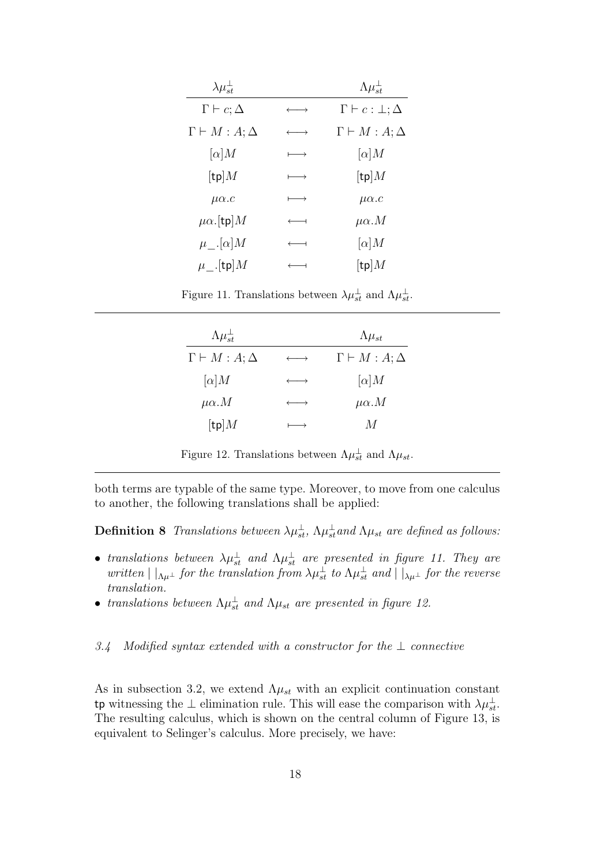| $\lambda \mu_{st}^{\perp}$                |                       | $\Lambda \mu_{st}^{\perp}$       |
|-------------------------------------------|-----------------------|----------------------------------|
| $\Gamma \vdash c; \Delta$                 | $\longleftrightarrow$ | $\Gamma \vdash c : \bot; \Delta$ |
| $\Gamma \vdash M : A; \Delta$             | $\longleftrightarrow$ | $\Gamma \vdash M : A; \Delta$    |
| $[\alpha]$ <i>M</i>                       | $\longmapsto$         | $[\alpha]$ <i>M</i>              |
| $[\operatorname{\mathsf{tp}}]M$           | $\longmapsto$         | $[\operatorname{\mathsf{tp}}]M$  |
| $\mu\alpha.c$                             | $\longmapsto$         | $\mu\alpha.c$                    |
| $\mu\alpha$ . [tp] $M$                    | $\longleftarrow$      | $\mu\alpha.M$                    |
| $\mu$ <sub>--</sub> [ $\alpha$ ] <i>M</i> | $\longleftarrow$      | $[\alpha]$ <i>M</i>              |
| $\mu$ _.[tp] $M$                          |                       | $[\operatorname{\mathsf{tp}}]M$  |

Figure 11. Translations between  $\lambda \mu_{st}^{\perp}$  and  $\Lambda \mu_{st}^{\perp}$ .

| $\Lambda \mu_{st}^{\perp}$      |                       | $\Lambda \mu_{st}$             |
|---------------------------------|-----------------------|--------------------------------|
| $\Gamma \vdash M : A; \Delta$   | $\longrightarrow$     | $\Gamma \vdash M : A : \Delta$ |
| $[\alpha]$ <i>M</i>             | $\longleftrightarrow$ | $[\alpha]$ <i>M</i>            |
| $\mu\alpha.M$                   | $\longleftrightarrow$ | $\mu\alpha.M$                  |
| $[\operatorname{\mathsf{tp}}]M$ |                       | M                              |

Figure 12. Translations between  $\Lambda \mu_{st}^{\perp}$  and  $\Lambda \mu_{st}$ .

both terms are typable of the same type. Moreover, to move from one calculus to another, the following translations shall be applied:

**Definition 8** Translations between  $\lambda \mu_{st}^{\perp}$ ,  $\Lambda \mu_{st}^{\perp}$  and  $\Lambda \mu_{st}$  are defined as follows:

- translations between  $\lambda \mu_{st}^{\perp}$  and  $\Lambda \mu_{st}^{\perp}$  are presented in figure 11. They are written  $||_{\Lambda\mu^{\perp}}$  for the translation from  $\lambda\mu_{st}^{\perp}$  to  $\Lambda\mu_{st}^{\perp}$  and  $||_{\lambda\mu^{\perp}}$  for the reverse translation.
- translations between  $\Lambda \mu_{st}^{\perp}$  and  $\Lambda \mu_{st}$  are presented in figure 12.

#### 3.4 Modified syntax extended with a constructor for the  $\perp$  connective

As in subsection 3.2, we extend  $\Lambda \mu_{st}$  with an explicit continuation constant tp witnessing the  $\perp$  elimination rule. This will ease the comparison with  $\lambda \mu_{st}^{\perp}$ . The resulting calculus, which is shown on the central column of Figure 13, is equivalent to Selinger's calculus. More precisely, we have: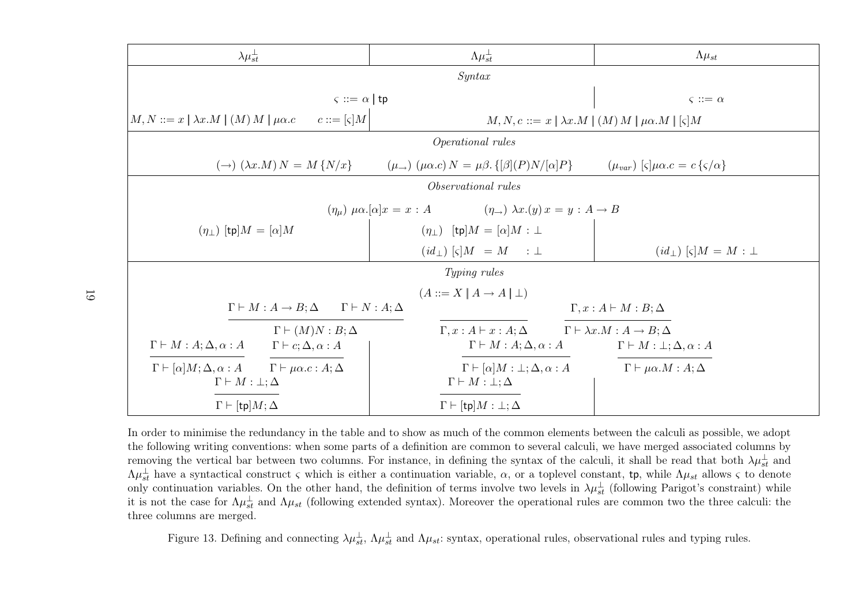| $\lambda \mu_{st}^{\perp}$                                                                                                        | $\Lambda \mu_{st}^{\perp}$                                                               | $\Lambda \mu_{st}$                                                                            |  |  |  |  |
|-----------------------------------------------------------------------------------------------------------------------------------|------------------------------------------------------------------------------------------|-----------------------------------------------------------------------------------------------|--|--|--|--|
| Syntax                                                                                                                            |                                                                                          |                                                                                               |  |  |  |  |
| $\varsigma ::= \alpha   \mathsf{tp}$                                                                                              |                                                                                          | $\varsigma ::= \alpha$                                                                        |  |  |  |  |
| $c ::= [\varsigma]M$<br>$ M, N ::= x   \lambda x.M   (M) M   \mu \alpha.c$                                                        | $M, N, c ::= x \mid \lambda x.M \mid (M) M \mid \mu \alpha.M \mid [\varsigma] M$         |                                                                                               |  |  |  |  |
|                                                                                                                                   | Operational rules                                                                        |                                                                                               |  |  |  |  |
| $(\rightarrow)$ $(\lambda x.M) N = M \{N/x\}$                                                                                     | $(\mu_{\rightarrow})$ $(\mu \alpha.c) N = \mu \beta. \{ [\beta](P)N/[\alpha]P \}$        | $(\mu_{var})$ $\varsigma$ $ \mu\alpha.c = c \{\varsigma/\alpha\}$                             |  |  |  |  |
|                                                                                                                                   | Observational rules                                                                      |                                                                                               |  |  |  |  |
| $(\eta_{\mu}) \mu \alpha . [\alpha] x = x : A$ $(\eta_{\rightarrow}) \lambda x . (y) x = y : A \rightarrow B$                     |                                                                                          |                                                                                               |  |  |  |  |
| $(\eta_{\perp})$ [tp] $M = [\alpha]M$                                                                                             | $(\eta_{\perp})$ [tp] $M = [\alpha]M : \perp$                                            |                                                                                               |  |  |  |  |
|                                                                                                                                   | $(id_{\perp})$ $\lbrack \varsigma \rbrack M = M : \perp$                                 | $(id_{\perp})$ $\lbrack \varsigma \rbrack M = M : \perp$                                      |  |  |  |  |
| Typing rules                                                                                                                      |                                                                                          |                                                                                               |  |  |  |  |
|                                                                                                                                   | $(A ::= X   A \rightarrow A   \perp)$                                                    |                                                                                               |  |  |  |  |
| $\Gamma \vdash M : A \to B; \Delta \qquad \Gamma \vdash N : A; \Delta$                                                            |                                                                                          | $\Gamma, x:A \vdash M:B;\Delta$                                                               |  |  |  |  |
| $\Gamma \vdash (M)N : B; \Delta$<br>$\Gamma \vdash M : A; \Delta, \alpha : A$<br>$\Gamma \vdash c; \Delta, \alpha : A$            | $\Gamma, x:A \vdash x:A ; \Delta$<br>$\Gamma \vdash M : A; \Delta, \alpha : A$           | $\Gamma \vdash \lambda x.M : A \to B; \Delta$<br>$\Gamma \vdash M : \bot; \Delta, \alpha : A$ |  |  |  |  |
| $\Gamma \vdash [\alpha]M; \Delta, \alpha : A \qquad \Gamma \vdash \mu \alpha . c : A; \Delta$<br>$\Gamma \vdash M : \bot; \Delta$ | $\Gamma \vdash [\alpha]M : \bot; \Delta, \alpha : A$<br>$\Gamma \vdash M : \bot; \Delta$ | $\Gamma \vdash \mu \alpha.M : A; \Delta$                                                      |  |  |  |  |
| $\Gamma \vdash [{\sf tp}]M; \Delta$                                                                                               | $\Gamma \vdash [{\sf tp}]M : \bot; \Delta$                                               |                                                                                               |  |  |  |  |

In order to minimise the redundancy in the table and to show as much of the common elements between the calculi as possible, we adopt the following writing conventions: when some parts of <sup>a</sup> definition are common to several calculi, we have merged associated columns byremoving the vertical bar between two columns. For instance, in defining the syntax of the calculi, it shall be read that both  $\lambda \mu_{st}^{\perp}$  and  $\Lambda \mu_{st}^{\perp}$  have a syntactical construct  $\varsigma$  which is either a continuation variable,  $\alpha$ , or a toplevel constant, tp, while  $\Lambda \mu_{st}$  allows  $\varsigma$  to denote only continuation variables. On the other hand, the definition of terms involve two levels in  $\lambda \mu_{st}^{\perp}$  (following Parigot's constraint) while it is not the case for  $\Lambda \mu_{st}^{\perp}$  and  $\Lambda \mu_{st}$  (following extended syntax). Moreover the operational rules are common two the three calculi: the three columns are merged.

Figure 13. Defining and connecting  $\lambda \mu_{st}^{\perp}$ ,  $\Lambda \mu_{st}^{\perp}$  and  $\Lambda \mu_{st}$ : syntax, operational rules, observational rules and typing rules.

19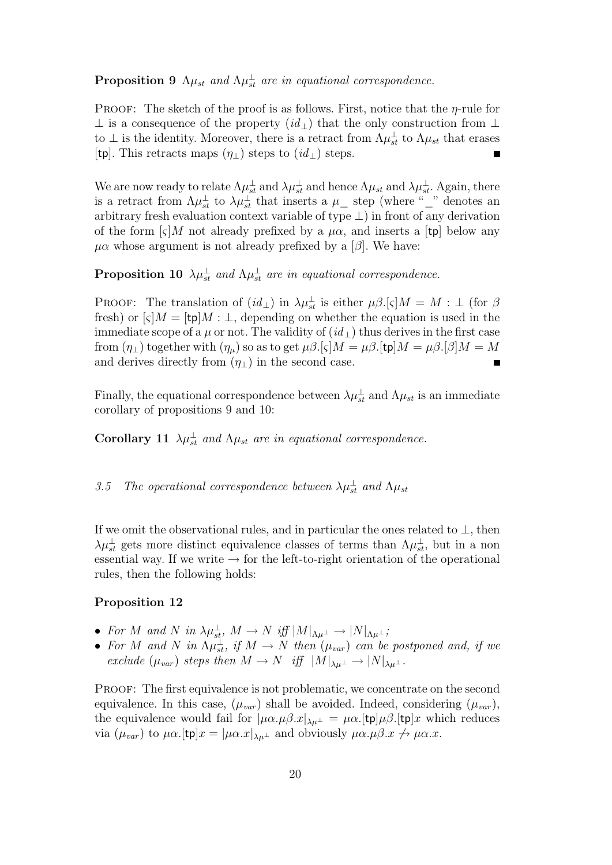## **Proposition 9**  $\Lambda \mu_{st}$  and  $\Lambda \mu_{st}^{\perp}$  are in equational correspondence.

PROOF: The sketch of the proof is as follows. First, notice that the  $\eta$ -rule for ⊥ is a consequence of the property  $(id_$ ) that the only construction from ⊥ to  $\perp$  is the identity. Moreover, there is a retract from  $\Lambda \mu_{st}^{\perp}$  to  $\Lambda \mu_{st}$  that erases [tp]. This retracts maps  $(\eta_{\perp})$  steps to  $(id_{\perp})$  steps.

We are now ready to relate  $\Lambda \mu_{st}^{\perp}$  and  $\lambda \mu_{st}^{\perp}$  and hence  $\Lambda \mu_{st}$  and  $\lambda \mu_{st}^{\perp}$ . Again, there is a retract from  $\Lambda \mu_{st}^{\perp}$  to  $\lambda \mu_{st}^{\perp}$  that inserts a  $\mu_{-}$  step (where "\_" denotes an arbitrary fresh evaluation context variable of type  $\perp$ ) in front of any derivation of the form  $\lbrack \varsigma \rbrack M$  not already prefixed by a  $\mu \alpha$ , and inserts a [tp] below any  $\mu\alpha$  whose argument is not already prefixed by a [ $\beta$ ]. We have:

**Proposition 10**  $\lambda \mu_{st}^{\perp}$  and  $\Lambda \mu_{st}^{\perp}$  are in equational correspondence.

PROOF: The translation of  $(id_{\perp})$  in  $\lambda \mu_{st}^{\perp}$  is either  $\mu \beta. \lbrack \varsigma \rbrack M = M : \perp$  (for  $\beta$ fresh) or  $\lbrack \varsigma \rbrack M = \lbrack \text{tp} \rbrack M : \bot$ , depending on whether the equation is used in the immediate scope of a  $\mu$  or not. The validity of  $(id_{\perp})$  thus derives in the first case from  $(\eta_{\perp})$  together with  $(\eta_{\mu})$  so as to get  $\mu\beta$ .[ $\varsigma$ ] $M = \mu\beta$ .[ $\upsilon$ ] $M = \mu\beta$ .[ $\beta$ ] $M = M$ and derives directly from  $(\eta_{\perp})$  in the second case.

Finally, the equational correspondence between  $\lambda \mu_{st}^{\perp}$  and  $\Lambda \mu_{st}$  is an immediate corollary of propositions 9 and 10:

**Corollary 11**  $\lambda \mu_{st}^{\perp}$  and  $\Lambda \mu_{st}$  are in equational correspondence.

## 3.5 The operational correspondence between  $\lambda \mu_{st}^{\perp}$  and  $\Lambda \mu_{st}$

If we omit the observational rules, and in particular the ones related to  $\perp$ , then  $\lambda \mu_{st}^{\perp}$  gets more distinct equivalence classes of terms than  $\Lambda \mu_{st}^{\perp}$ , but in a non essential way. If we write  $\rightarrow$  for the left-to-right orientation of the operational rules, then the following holds:

#### Proposition 12

- For M and N in  $\lambda \mu_{st}^{\perp}$ ,  $M \to N$  iff  $|M|_{\Lambda \mu^{\perp}} \to |N|_{\Lambda \mu^{\perp}}$ ;
- For M and N in  $\Lambda \mu_{st}^{\perp}$ , if  $M \to N$  then  $(\mu_{var})$  can be postponed and, if we exclude  $(\mu_{var})$  steps then  $M \to N$  iff  $|M|_{\lambda\mu^{\perp}} \to |N|_{\lambda\mu^{\perp}}$ .

Proof: The first equivalence is not problematic, we concentrate on the second equivalence. In this case,  $(\mu_{var})$  shall be avoided. Indeed, considering  $(\mu_{var})$ , the equivalence would fail for  $|\mu\alpha.\mu\beta.x|_{\lambda\mu^{\perp}} = \mu\alpha.$ [tp] $\mu\beta.$ [tp]x which reduces via  $(\mu_{var})$  to  $\mu\alpha$ .[tp] $x = |\mu\alpha.x|_{\lambda\mu^{\perp}}$  and obviously  $\mu\alpha.\mu\beta.x \nrightarrow \mu\alpha.x$ .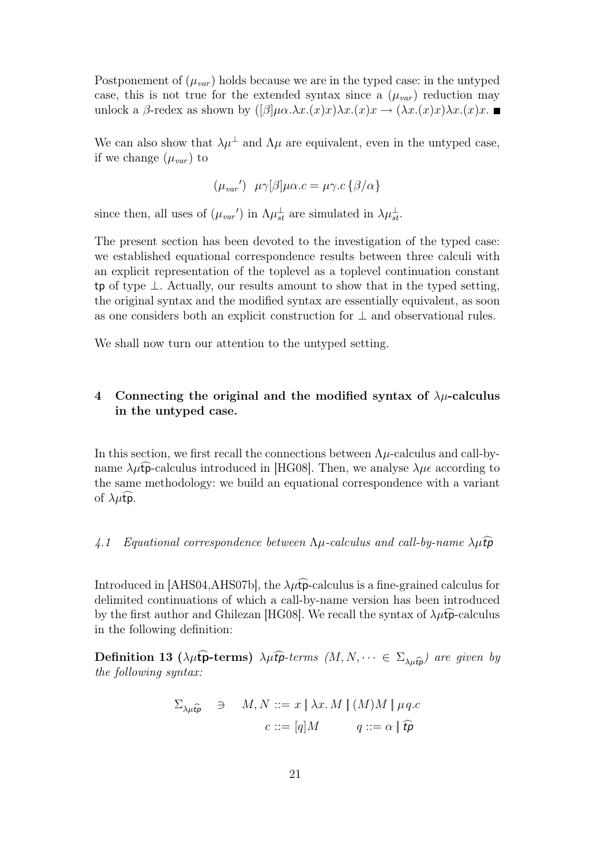Postponement of  $(\mu_{var})$  holds because we are in the typed case: in the untyped case, this is not true for the extended syntax since a  $(\mu_{var})$  reduction may unlock a β-redex as shown by  $([\beta]\mu\alpha.\lambda x.(x)x)\lambda x.(x)x \rightarrow (\lambda x.(x)x)\lambda x.(x)x$ .

We can also show that  $\lambda \mu^{\perp}$  and  $\Lambda \mu$  are equivalent, even in the untyped case, if we change  $(\mu_{var})$  to

$$
(\mu_{var}) \ \mu \gamma[\beta] \mu \alpha.c = \mu \gamma.c \{ \beta/\alpha \}
$$

since then, all uses of  $(\mu_{var})$  in  $\Lambda \mu_{st}^{\perp}$  are simulated in  $\lambda \mu_{st}^{\perp}$ .

The present section has been devoted to the investigation of the typed case: we established equational correspondence results between three calculi with an explicit representation of the toplevel as a toplevel continuation constant tp of type ⊥. Actually, our results amount to show that in the typed setting, the original syntax and the modified syntax are essentially equivalent, as soon as one considers both an explicit construction for ⊥ and observational rules.

We shall now turn our attention to the untyped setting.

### 4 Connecting the original and the modified syntax of  $\lambda \mu$ -calculus in the untyped case.

In this section, we first recall the connections between  $\Lambda \mu$ -calculus and call-byname  $\lambda \mu \widehat{\mathbf{p}}$ -calculus introduced in [HG08]. Then, we analyse  $\lambda \mu \epsilon$  according to the same methodology: we build an equational correspondence with a variant of  $\lambda \mu$ tp.

#### 4.1 Equational correspondence between  $\Lambda \mu$ -calculus and call-by-name  $\lambda \mu \hat{t} \hat{p}$

Introduced in [AHS04,AHS07b], the  $\lambda \mu \hat{I}$ -calculus is a fine-grained calculus for delimited continuations of which a call-by-name version has been introduced by the first author and Ghilezan [HG08]. We recall the syntax of  $\lambda \mu \hat{t}$  -calculus in the following definition:

**Definition 13** ( $\lambda \mu$ **tp-terms)**  $\lambda \mu$ **tp**-terms  $(M, N, \dots \in \Sigma_{\lambda \mu \hat{\mathbf{t}}p})$  are given by the following syntax:

$$
\Sigma_{\lambda\mu\hat{t}\hat{p}} \quad \ni \quad M, N ::= x \mid \lambda x. M \mid (M)M \mid \mu q.c
$$
\n
$$
c ::= [q]M \qquad q ::= \alpha \mid \hat{t}\hat{p}
$$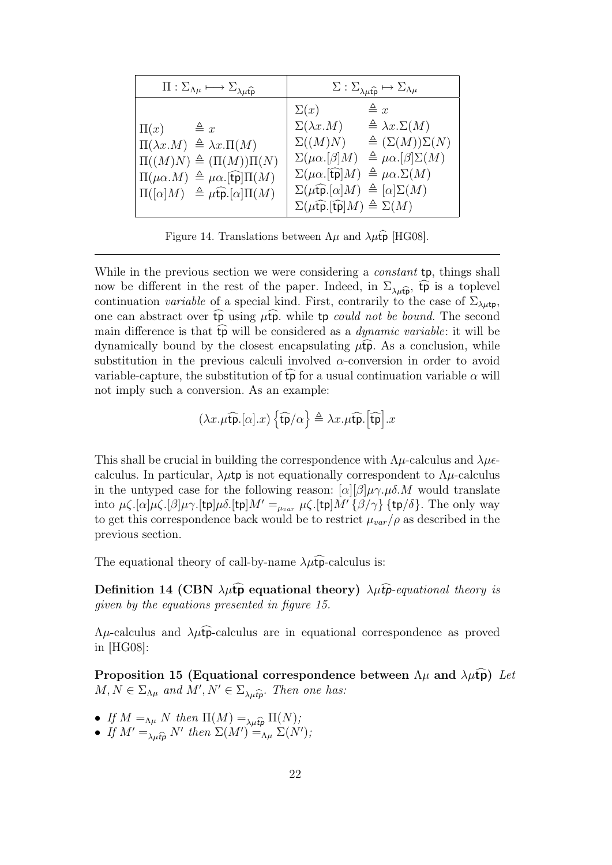| $\Pi : \Sigma_{\Lambda\mu} \longmapsto \Sigma_{\lambda\mu\widehat{\mathfrak{p}}}$                                                                                                                                                                              | $\Sigma : \Sigma_{\lambda\mu\widehat{\mathfrak{p}}} \mapsto \Sigma_{\Lambda\mu}$                                                                                                                                                                                                                                                                                                                                                                                                            |  |  |
|----------------------------------------------------------------------------------------------------------------------------------------------------------------------------------------------------------------------------------------------------------------|---------------------------------------------------------------------------------------------------------------------------------------------------------------------------------------------------------------------------------------------------------------------------------------------------------------------------------------------------------------------------------------------------------------------------------------------------------------------------------------------|--|--|
| $\triangleq x$<br>$\Pi(x)$<br>$\Pi(\lambda x.M) \triangleq \lambda x.\Pi(M)$<br>$\Pi((M)N) \triangleq (\Pi(M))\Pi(N)$<br>$\Pi(\mu \alpha.M) \triangleq \mu \alpha .$ [tp] $\Pi(M)$<br>$\Pi([\alpha]M) \triangleq \mu \widehat{\mathfrak{tp}}. [\alpha] \Pi(M)$ | $\triangleq x$<br>$\Sigma(x)$<br>$\triangleq \lambda x. \Sigma(M)$<br>$\Sigma(\lambda x.M)$<br>$\triangleq (\Sigma(M))\Sigma(N)$<br>$\Sigma((M)N)$<br>$\triangleq \mu \alpha. [\beta] \Sigma(M)$<br>$\Sigma(\mu\alpha.[\beta]M)$<br>$\Sigma(\mu\alpha \cdot f\mathfrak{p} M) \triangleq \mu\alpha \cdot \Sigma(M)$<br>$\Sigma(\mu \widehat{\mathfrak{tp}}.[\alpha]M) \triangleq [\alpha] \Sigma(M)$<br>$\Sigma(\mu \widehat{\mathfrak{tp}}.\widehat{\mathfrak{tp}} M) \triangleq \Sigma(M)$ |  |  |

Figure 14. Translations between  $\Lambda\mu$  and  $\lambda\mu\hat{\mathbf{p}}$  [HG08].

While in the previous section we were considering a *constant* **tp**, things shall now be different in the rest of the paper. Indeed, in  $\Sigma_{\lambda\mu\hat{\mathbf{p}}}$ ,  $\hat{\mathbf{tp}}$  is a toplevel continuation variable of a special kind. First, contrarily to the case of  $\Sigma_{\lambda\mu\text{tp}}$ , one can abstract over  $\overline{tp}$  using  $\mu\overline{tp}$ . while  $tp$  could not be bound. The second main difference is that  $\widehat{\mathfrak{tp}}$  will be considered as a *dynamic variable*: it will be dynamically bound by the closest encapsulating  $\mu$ **fp**. As a conclusion, while substitution in the previous calculi involved  $\alpha$ -conversion in order to avoid variable-capture, the substitution of  $\widehat{tp}$  for a usual continuation variable  $\alpha$  will not imply such a conversion. As an example:

$$
\left(\lambda x.\mu\widehat{\text{tp}}.[\alpha].x\right)\left\{\widehat{\text{tp}}/\alpha\right\}\triangleq \lambda x.\mu\widehat{\text{tp}}.\left[\widehat{\text{tp}}\right].x
$$

This shall be crucial in building the correspondence with  $\Lambda \mu$ -calculus and  $\lambda \mu \epsilon$ calculus. In particular,  $\lambda \mu$ tp is not equationally correspondent to  $\Lambda \mu$ -calculus in the untyped case for the following reason:  $[\alpha][\beta]\mu\gamma.\mu\delta.M$  would translate into  $\mu\zeta.[\alpha]\mu\zeta.[\beta]\mu\gamma.[\text{tp}]\mu\delta.[\text{tp}]M' =_{\mu_{var}} \mu\zeta.[\text{tp}]M'\{\beta/\gamma\}$  {tp/ $\delta$ }. The only way to get this correspondence back would be to restrict  $\mu_{var}/\rho$  as described in the previous section.

The equational theory of call-by-name  $\lambda \mu \hat{t}$ -calculus is:

Definition 14 (CBN  $\lambda \mu \widehat{\mathbf{p}}$  equational theory)  $\lambda \mu \widehat{\mathbf{p}}$ -equational theory is given by the equations presented in figure 15.

 $\Lambda \mu$ -calculus and  $\lambda \mu$ tpc-calculus are in equational correspondence as proved in [HG08]:

Proposition 15 (Equational correspondence between  $\Lambda\mu$  and  $\lambda\mu$ tp) Let  $M, N \in \Sigma_{\Lambda\mu}$  and  $M', N' \in \Sigma_{\lambda\mu\hat{t}\hat{p}}$ . Then one has:

- If  $M =_{\Lambda\mu} N$  then  $\Pi(M) =_{\lambda\mu\hat{t}\hat{p}} \Pi(N);$
- If  $M' =_{\lambda\mu\widehat{\mathfrak{t}}p} N'$  then  $\Sigma(M') =_{\Lambda\mu} \Sigma(N')$ ;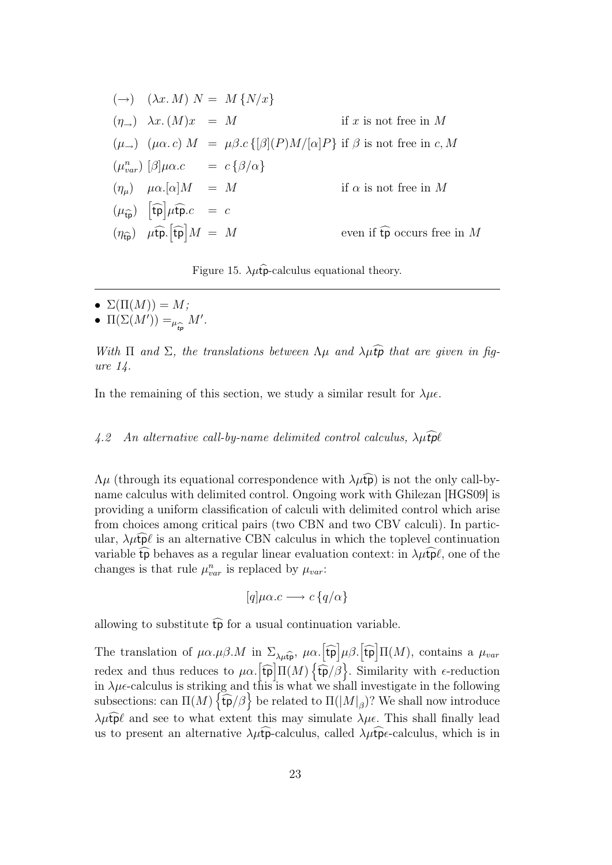| $(\rightarrow) \quad (\lambda x. M) N = M \{N/x\}$                                      |  |                                                                                                                   |
|-----------------------------------------------------------------------------------------|--|-------------------------------------------------------------------------------------------------------------------|
| $(\eta_{\rightarrow}) \quad \lambda x. (M)x = M$                                        |  | if x is not free in $M$                                                                                           |
|                                                                                         |  | $(\mu_{\rightarrow})$ $(\mu \alpha.c) M = \mu \beta.c$ { $\beta$ }(P)M/ $\alpha$ } if $\beta$ is not free in c, M |
| $(\mu_{var}^n)$ $\beta$ $\mu\alpha.c$ = $c \{\beta/\alpha\}$                            |  |                                                                                                                   |
| $(\eta_{\mu})$ $\mu \alpha . [\alpha] M = M$                                            |  | if $\alpha$ is not free in M                                                                                      |
| $(\mu_{\widehat{\text{to}}})$ $[\widehat{\text{tp}}] \mu \widehat{\text{tp}}.c = c$     |  |                                                                                                                   |
| $(\eta_{\widehat{\text{tp}}})$ $\mu \widehat{\text{tp}}$ . $\widehat{[\text{tp}}]M = M$ |  | even if $\widehat{\mathfrak{tp}}$ occurs free in M                                                                |
|                                                                                         |  |                                                                                                                   |

Figure 15.  $\lambda \mu \hat{\mathbf{p}}$ -calculus equational theory.

- $\Sigma(\Pi(M)) = M;$
- $\Pi(\Sigma(M')) = \mu$ tpb  $M'$ .

With  $\Pi$  and  $\Sigma$ , the translations between  $\Lambda\mu$  and  $\lambda\mu\widehat{\mathbf{tp}}$  that are given in figure 14.

In the remaining of this section, we study a similar result for  $\lambda \mu \epsilon$ .

#### 4.2 An alternative call-by-name delimited control calculus,  $\lambda \mu \hat{t}$ pl

 $\Lambda\mu$  (through its equational correspondence with  $\lambda\mu\widehat{tp}$ ) is not the only call-byname calculus with delimited control. Ongoing work with Ghilezan [HGS09] is providing a uniform classification of calculi with delimited control which arise from choices among critical pairs (two CBN and two CBV calculi). In particular,  $\lambda \mu \tilde{p} \ell$  is an alternative CBN calculus in which the toplevel continuation variable  $\widehat{\mathfrak{tp}}$  behaves as a regular linear evaluation context: in  $\lambda\mu\widehat{\mathfrak{tp}}\ell$ , one of the changes is that rule  $\mu_{var}^n$  is replaced by  $\mu_{var}$ :

$$
[q]\mu\alpha.c \longrightarrow c\{q/\alpha\}
$$

allowing to substitute  $\widehat{tp}$  for a usual continuation variable.

The translation of  $\mu \alpha.\mu \beta.M$  in  $\Sigma_{\lambda\mu\hat{\mathfrak{p}}}, \ \mu \alpha.$  [to  $\mu \beta$ . [to  $\Pi(M)$ , contains a  $\mu_{var}$ redex and thus reduces to  $\mu\alpha$ .  $\left[\widehat{\mathfrak{tp}}\right]\Pi(M)\left\{\widehat{\overline{\mathfrak{tp}}}/\widehat{\beta}\right\}$ . Similarity with  $\epsilon$ -reduction in  $\lambda \mu \epsilon$ -calculus is striking and this is what we shall investigate in the following subsections: can  $\Pi(M)$   $\{\widehat{\mathfrak{tp}}/\beta\}$  be related to  $\Pi(|M|_\beta)$ ? We shall now introduce  $\lambda \mu \widehat{\mathbf{p}} \ell$  and see to what extent this may simulate  $\lambda \mu \epsilon$ . This shall finally lead us to present an alternative  $\lambda \mu \hat{\mathbf{p}}$ -calculus, called  $\lambda \mu \hat{\mathbf{p}}$ -calculus, which is in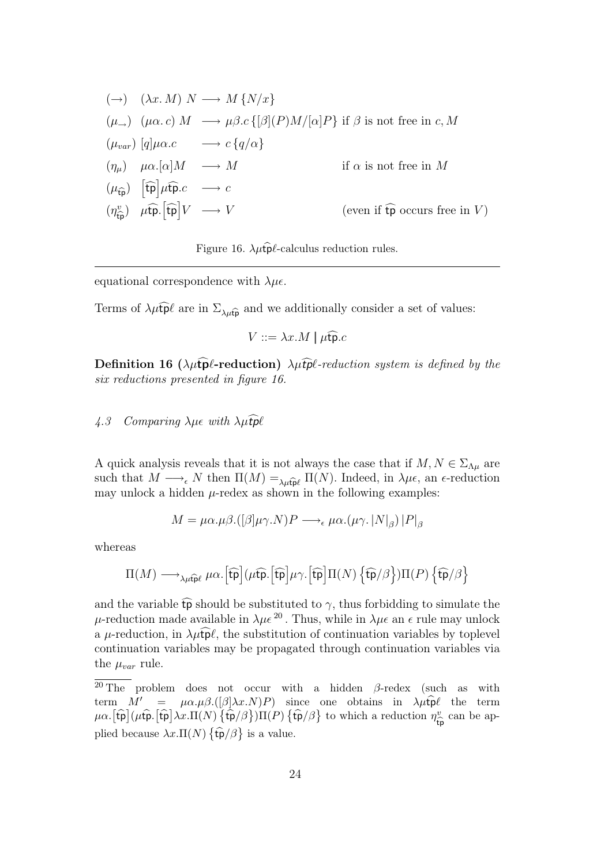$$
(\rightarrow) \quad (\lambda x. M) \ N \longrightarrow M \{N/x\}
$$
  
\n
$$
(\mu_{\rightarrow}) \quad (\mu \alpha. c) \ M \longrightarrow \mu \beta. c \{[\beta](P)M/[\alpha]P\} \text{ if } \beta \text{ is not free in } c, M
$$
  
\n
$$
(\mu_{var}) \ [q] \mu \alpha. c \longrightarrow c \{q/\alpha\}
$$
  
\n
$$
(\eta_{\mu}) \quad \mu \alpha. [\alpha]M \longrightarrow M \qquad \text{if } \alpha \text{ is not free in } M
$$
  
\n
$$
(\mu_{\widehat{\mathfrak{p}}}) \ \ [\widehat{\mathfrak{tp}}] \mu \widehat{\mathfrak{tp}}. c \longrightarrow c
$$
  
\n
$$
(\eta_{\widehat{\mathfrak{tp}}}^v) \quad \mu \widehat{\mathfrak{tp}}. [\widehat{\mathfrak{tp}}]V \longrightarrow V \qquad \text{(even if } \widehat{\mathfrak{tp}} \text{ occurs free in } V)
$$

Figure 16.  $\lambda \mu \hat{\mathbf{p}} \ell$ -calculus reduction rules.

equational correspondence with  $\lambda \mu \epsilon$ .

Terms of  $\lambda \mu \tilde{t} \tilde{p} \ell$  are in  $\Sigma_{\lambda \mu \tilde{t} \tilde{p}}$  and we additionally consider a set of values:

$$
V ::= \lambda x.M \mid \mu \widehat{\mathfrak{tp}}.c
$$

**Definition 16** ( $\lambda \mu \hat{\mathbf{p}}$ *l*-reduction)  $\lambda \mu \hat{\mathbf{p}}$ *l*-reduction system is defined by the six reductions presented in figure 16.

### $4.3$  Comparing  $\lambda \mu \epsilon$  with  $\lambda \mu \hat{t}$ pl

A quick analysis reveals that it is not always the case that if  $M, N \in \Sigma_{\Lambda\mu}$  are such that  $M \longrightarrow_{\epsilon} N$  then  $\Pi(M) =_{\lambda \mu \widehat{\mathbf{u}} \rho} \Pi(N)$ . Indeed, in  $\lambda \mu \epsilon$ , an  $\epsilon$ -reduction may unlock a hidden  $\mu$ -redex as shown in the following examples:

$$
M = \mu\alpha.\mu\beta.([\beta]\mu\gamma.N)P \longrightarrow_{\epsilon} \mu\alpha.(\mu\gamma.|N|_{\beta})|P|_{\beta}
$$

whereas

$$
\Pi(M) \longrightarrow_{\lambda\mu\widehat{\mathfrak{tp}} \ell}\mu\alpha. \Big[\widehat{\mathfrak{tp}}\Big](\mu\widehat{\mathfrak{tp}}.\Big[\widehat{\mathfrak{tp}}\Big]\mu\gamma. \Big[\widehat{\mathfrak{tp}}\Big]\Pi(N)\left\{\widehat{\mathfrak{tp}}/\beta\right\})\Pi(P)\left\{\widehat{\mathfrak{tp}}/\beta\right\}
$$

and the variable  $\widehat{\mathfrak{tp}}$  should be substituted to  $\gamma$ , thus forbidding to simulate the  $\mu$ -reduction made available in  $\lambda \mu \epsilon^{20}$ . Thus, while in  $\lambda \mu \epsilon$  an  $\epsilon$  rule may unlock a  $\mu$ -reduction, in  $\lambda \mu \widehat{\mathbf{p}} \ell$ , the substitution of continuation variables by toplevel continuation variables may be propagated through continuation variables via the  $\mu_{var}$  rule.

 $\overline{^{20}$  The problem does not occur with a hidden  $\beta$ -redex (such as with term  $M' = \mu \alpha . \mu \beta . (\beta \lambda x . N) P$  since one obtains in  $\lambda \mu \hat{\mathbf{p}} \ell$  the term  $\mu\alpha$ .  $[\hat{\text{tp}}](\mu\hat{\text{tp}}.\hat{[\text{tp}})\lambda x.\Pi(N)\hat{\text{tp}}/\beta)\Pi(P)\{\hat{\text{tp}}/\beta\}$  to which a reduction  $\eta_{\hat{\text{tf}}}^v$  $v_{\hat{\mathsf{tp}}}^v$  can be applied because  $\lambda x.\Pi(N) \{\hat{\mathfrak{tp}}/\beta\}$  is a value.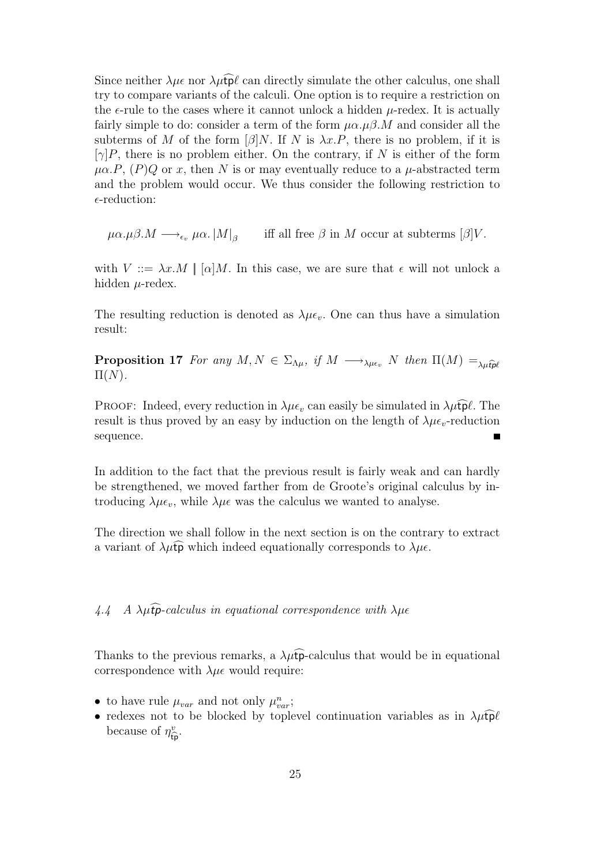Since neither  $\lambda \mu \epsilon$  nor  $\lambda \mu t \bar{p}\ell$  can directly simulate the other calculus, one shall try to compare variants of the calculi. One option is to require a restriction on the  $\epsilon$ -rule to the cases where it cannot unlock a hidden  $\mu$ -redex. It is actually fairly simple to do: consider a term of the form  $\mu \alpha$ . $\mu \beta$ . M and consider all the subterms of M of the form  $\lbrack \beta \rbrack N$ . If N is  $\lambda x.P$ , there is no problem, if it is  $[\gamma]P$ , there is no problem either. On the contrary, if N is either of the form  $\mu\alpha.P$ ,  $(P)Q$  or x, then N is or may eventually reduce to a  $\mu$ -abstracted term and the problem would occur. We thus consider the following restriction to  $\epsilon$ -reduction:

 $\mu\alpha.\mu\beta.M \longrightarrow_{\epsilon_v} \mu\alpha.\left|M\right|_B$ iff all free  $\beta$  in M occur at subterms  $\beta$ ]V.

with  $V ::= \lambda x.M \mid [\alpha]M$ . In this case, we are sure that  $\epsilon$  will not unlock a hidden  $\mu$ -redex.

The resulting reduction is denoted as  $\lambda \mu \epsilon_v$ . One can thus have a simulation result:

**Proposition 17** For any  $M, N \in \Sigma_{\Lambda\mu}$ , if  $M \longrightarrow_{\lambda\mu\epsilon_v} N$  then  $\Pi(M) =_{\lambda\mu\widehat{t}\widehat{t}\widehat{t}}$  $\Pi(N)$ .

PROOF: Indeed, every reduction in  $\lambda \mu \epsilon_v$  can easily be simulated in  $\lambda \mu \tilde{t} \rho \ell$ . The result is thus proved by an easy by induction on the length of  $\lambda \mu \epsilon_v$ -reduction sequence.  $\blacksquare$ 

In addition to the fact that the previous result is fairly weak and can hardly be strengthened, we moved farther from de Groote's original calculus by introducing  $\lambda \mu \epsilon_v$ , while  $\lambda \mu \epsilon$  was the calculus we wanted to analyse.

The direction we shall follow in the next section is on the contrary to extract a variant of  $\lambda \mu \widehat{\mathfrak{tp}}$  which indeed equationally corresponds to  $\lambda \mu \epsilon$ .

 $4.4$  A  $\lambda \mu \hat{\mathbf{p}}$ -calculus in equational correspondence with  $\lambda \mu \hat{\mathbf{e}}$ 

Thanks to the previous remarks, a  $\lambda \mu \widehat{\mathbf{tp}}$ -calculus that would be in equational correspondence with  $\lambda \mu \epsilon$  would require:

- to have rule  $\mu_{var}$  and not only  $\mu_{var}^n$ ;
- redexes not to be blocked by toplevel continuation variables as in  $\lambda \mu \hat{\mathbf{p}} \ell$ because of  $\eta_{\hat{t}}^v$  $\int_{\hat{\mathsf{t}} \mathsf{p}}^v$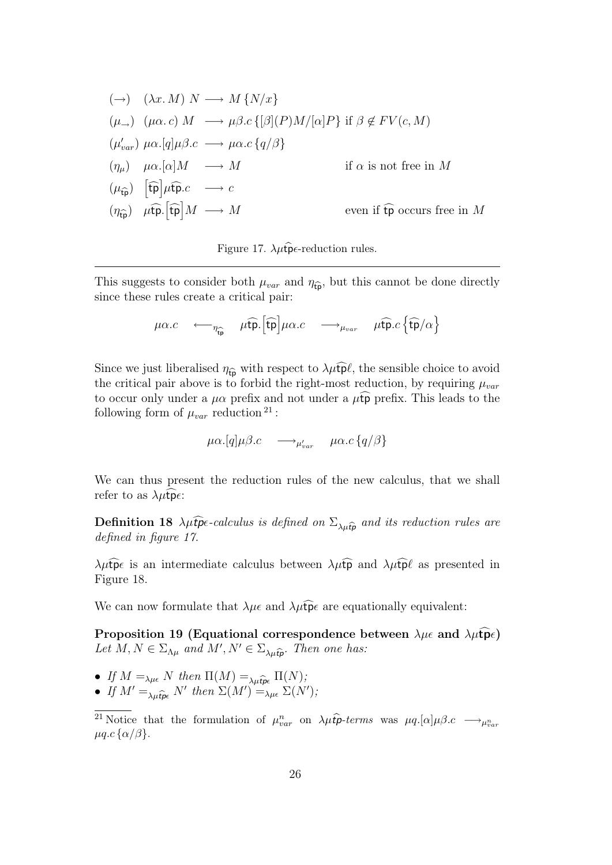$$
(\rightarrow) \quad (\lambda x. M) \ N \longrightarrow M \{N/x\}
$$
  
\n
$$
(\mu_{\rightarrow}) \quad (\mu \alpha. c) \ M \longrightarrow \mu \beta. c \{[\beta](P)M/[\alpha]P\} \text{ if } \beta \notin FV(c, M)
$$
  
\n
$$
(\mu'_{var}) \ \mu \alpha. [q] \mu \beta. c \longrightarrow \mu \alpha. c \{q/\beta\}
$$
  
\n
$$
(\eta_{\mu}) \quad \mu \alpha. [\alpha]M \longrightarrow M \qquad \text{if } \alpha \text{ is not free in } M
$$
  
\n
$$
(\mu_{\widehat{\mathfrak{tp}}}) \quad [\widehat{\mathfrak{tp}}] \mu \widehat{\mathfrak{tp}}. c \longrightarrow c
$$
  
\n
$$
(\eta_{\widehat{\mathfrak{tp}}}) \quad \mu \widehat{\mathfrak{tp}}. [\widehat{\mathfrak{tp}}] M \longrightarrow M \qquad \text{even if } \widehat{\mathfrak{tp}} \text{ occurs free in } M
$$



This suggests to consider both  $\mu_{var}$  and  $\eta_{\hat{\mathbf{p}}}$ , but this cannot be done directly since these rules create a critical pair:

$$
\mu\alpha.c \leftarrow_{\eta_{\widehat{\mathfrak{t}\mathfrak{p}}}} \mu\widehat{\mathfrak{t}\mathfrak{p}}.\left[\widehat{\mathfrak{t}\mathfrak{p}}\right]\mu\alpha.c \longrightarrow_{\mu_{var}} \mu\widehat{\mathfrak{t}\mathfrak{p}}.c\left\{\widehat{\mathfrak{t}\mathfrak{p}}/\alpha\right\}
$$

Since we just liberalised  $\eta_{\hat{\mathbf{p}}}$  with respect to  $\lambda \mu \hat{\mathbf{p}} \ell$ , the sensible choice to avoid the critical pair above is to forbid the right-most reduction, by requiring  $\mu_{var}$ to occur only under a  $\mu\alpha$  prefix and not under a  $\mu\widehat{\mathfrak{tp}}$  prefix. This leads to the following form of  $\mu_{var}$  reduction<sup>21</sup>:

 $\mu\alpha.[q]\mu\beta.c \quad \longrightarrow_{\mu'_{var}} \quad \mu\alpha.c\left\{q/\beta\right\}$ 

We can thus present the reduction rules of the new calculus, that we shall refer to as  $\lambda \mu \hat{\tau} \hat{\rho} \epsilon$ :

**Definition 18**  $\lambda \mu \hat{t}$  pc-calculus is defined on  $\Sigma_{\lambda \mu \hat{t} p}$  and its reduction rules are defined in figure 17.

 $\lambda \mu \hat{\mathbf{p}} \in \mathbb{R}$  is an intermediate calculus between  $\lambda \mu \hat{\mathbf{p}}$  and  $\lambda \mu \hat{\mathbf{p}} \ell$  as presented in Figure 18.

We can now formulate that  $\lambda \mu \epsilon$  and  $\lambda \mu \hat{\tau}$  are equationally equivalent:

Proposition 19 (Equational correspondence between  $\lambda \mu \epsilon$  and  $\lambda \mu \widehat{\mathbf{p}} \epsilon$ ) Let  $M, N \in \Sigma_{\Lambda\mu}$  and  $M', N' \in \Sigma_{\Lambda\mu\hat{t}\hat{p}}$ . Then one has:

- If  $M =_{\lambda\mu\epsilon} N$  then  $\Pi(M) =_{\lambda\mu\epsilon} \Pi(N);$ <br>• If  $M' = N'$  then  $\Sigma(M')$
- If  $M' =_{\lambda\mu\widehat{t}\rho\epsilon} N'$  then  $\Sigma(M') =_{\lambda\mu\epsilon} \Sigma(N')$ ;

<sup>&</sup>lt;sup>21</sup> Notice that the formulation of  $\mu_{var}^n$  on  $\lambda \mu \hat{t}$  p-terms was  $\mu q. [\alpha] \mu \beta.c \longrightarrow_{\mu_{var}^n}$  $\mu q.c$  { $\alpha/\beta$  }.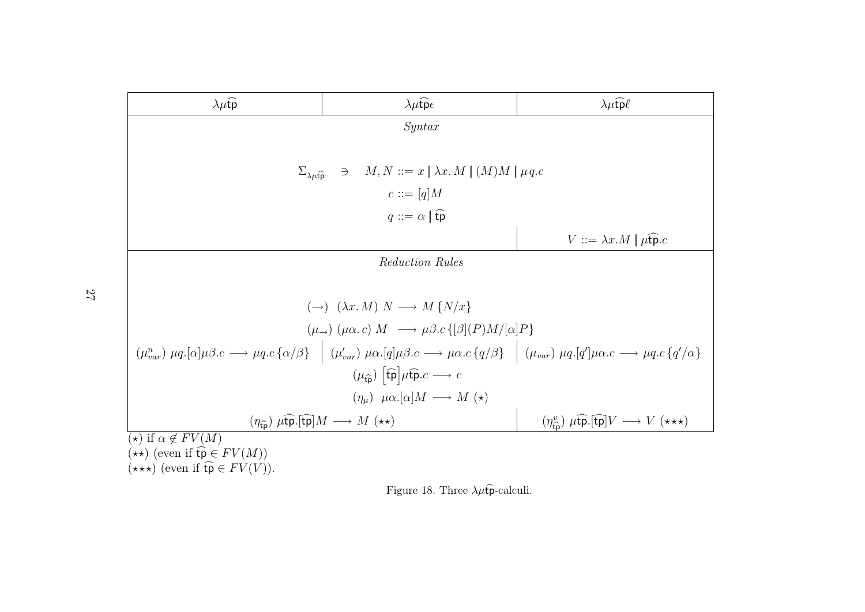| $\lambda \mu \widehat{\text{tp}}$                                                                                                                                                                                                                                                                                      | $\lambda \mu \widehat{\mathfrak{t}p} \epsilon$                                                     | $\lambda \mu \widehat{\text{tp}} \ell$ |  |  |  |  |
|------------------------------------------------------------------------------------------------------------------------------------------------------------------------------------------------------------------------------------------------------------------------------------------------------------------------|----------------------------------------------------------------------------------------------------|----------------------------------------|--|--|--|--|
|                                                                                                                                                                                                                                                                                                                        | Syn tax                                                                                            |                                        |  |  |  |  |
|                                                                                                                                                                                                                                                                                                                        |                                                                                                    |                                        |  |  |  |  |
| $\Sigma_{\lambda\mu\mathfrak{t}\mathfrak{p}}$                                                                                                                                                                                                                                                                          | $\exists M, N ::= x \mid \lambda x. M \mid (M)M \mid \mu q.c$                                      |                                        |  |  |  |  |
|                                                                                                                                                                                                                                                                                                                        | $c ::= [q]$ M                                                                                      |                                        |  |  |  |  |
|                                                                                                                                                                                                                                                                                                                        | $q ::= \alpha \mid \widehat{\mathsf{tp}}$                                                          |                                        |  |  |  |  |
|                                                                                                                                                                                                                                                                                                                        | $V ::= \lambda x.M \mid \mu \widehat{\mathfrak{tp}}.c$                                             |                                        |  |  |  |  |
| Reduction Rules                                                                                                                                                                                                                                                                                                        |                                                                                                    |                                        |  |  |  |  |
|                                                                                                                                                                                                                                                                                                                        |                                                                                                    |                                        |  |  |  |  |
|                                                                                                                                                                                                                                                                                                                        | $(\rightarrow)$ $(\lambda x. M) N \rightarrow M \{N/x\}$                                           |                                        |  |  |  |  |
|                                                                                                                                                                                                                                                                                                                        | $(\mu_{\rightarrow})$ $(\mu \alpha.c)$ $M \rightarrow \mu \beta.c$ {[ $\beta$ ] $(P)M/[\alpha]P$ } |                                        |  |  |  |  |
| $(\mu_{var}^n) \ \mu q. [\alpha] \mu \beta.c \longrightarrow \mu q.c \{ \alpha/\beta \} \quad \Big  \ \ (\mu_{var}^{\prime}) \ \mu \alpha. [q] \mu \beta.c \longrightarrow \mu \alpha.c \{ q/\beta \} \quad \Big  \ \ (\mu_{var} ) \ \mu q. [q^{\prime}] \mu \alpha.c \longrightarrow \mu q.c \{ q^{\prime}/\alpha \}$ |                                                                                                    |                                        |  |  |  |  |
| $(\mu_{\widehat{\text{tp}}})$ $[\widehat{\text{tp}}] \mu \widehat{\text{tp}}. c \longrightarrow c$                                                                                                                                                                                                                     |                                                                                                    |                                        |  |  |  |  |
| $(\eta_{\mu}) \mu \alpha . [\alpha] M \longrightarrow M (\star)$                                                                                                                                                                                                                                                       |                                                                                                    |                                        |  |  |  |  |
| $(\eta_{\widehat{\text{ro}}}^v) \ \mu \widehat{\text{tp}}. [\widehat{\text{tp}}] V \longrightarrow V \ (\star \star \star)$<br>$(\eta_{\widehat{\mathsf{tp}}}) \ \mu \widehat{\mathsf{tp}} . [\widehat{\mathsf{tp}}] M \longrightarrow M \ (\star \star)$                                                              |                                                                                                    |                                        |  |  |  |  |
| $\overline{(\star)}$ if $\alpha \notin FV(M)$<br>$(\star \star)$ (even if $\mathfrak{tp} \in FV(M)$ )<br>$(\star \star \star)$ (even if $\widehat{\mathsf{tp}} \in FV(V)$ ).                                                                                                                                           |                                                                                                    |                                        |  |  |  |  |

Figure 18. Three  $\lambda \mu \hat{\mathfrak{p}}$ -calculi.

27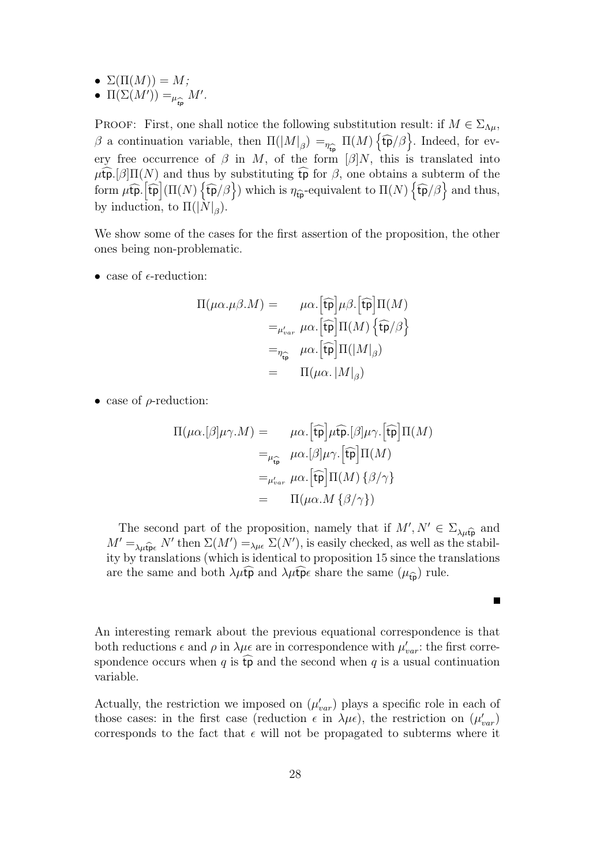•  $\Sigma(\Pi(M)) = M;$ 

• 
$$
\Pi(\Sigma(M')) =_{\mu_{\widehat{\mathbf{t}}\mathbf{p}}} M'.
$$

PROOF: First, one shall notice the following substitution result: if  $M \in \Sigma_{\Lambda\mu}$ , β a continuation variable, then  $\Pi(|M|_{\beta}) =_{\eta}$  $\frac{1}{2}$  $\Pi(M)$   $\{\widehat{\mathfrak{tp}}/\beta\}$ . Indeed, for every free occurrence of  $\beta$  in M, of the form  $\beta|N$ , this is translated into  $\mu$ tpc.[β] $\Pi(N)$  and thus by substituting tp for  $\beta$ , one obtains a subterm of the form  $\mu$ **f** $\widehat{\mathbf{p}}$ .  $[\widehat{\mathbf{tp}}](\Pi(N)\{\widehat{\mathbf{tp}}/\beta\})$  which is  $\eta_{\widehat{\mathbf{tp}}}$ -equivalent to  $\Pi(N)\{\widehat{\mathbf{tp}}/\beta\}$  and thus, by induction, to  $\Pi(|N|_{\beta})$ .

We show some of the cases for the first assertion of the proposition, the other ones being non-problematic.

• case of  $\epsilon$ -reduction:

$$
\Pi(\mu\alpha.\mu\beta.M) = \mu\alpha. [\widehat{\text{tp}}]\mu\beta. [\widehat{\text{tp}}]\Pi(M)
$$

$$
=_{\mu'_{var}} \mu\alpha. [\widehat{\text{tp}}]\Pi(M) {\{\widehat{\text{tp}}/\beta\}}
$$

$$
=_{\eta_{\widehat{\text{tp}}}} \mu\alpha. [\widehat{\text{tp}}]\Pi(|M|_{\beta})
$$

$$
= \Pi(\mu\alpha. |M|_{\beta})
$$

• case of  $\rho$ -reduction:

$$
\Pi(\mu\alpha.[\beta]\mu\gamma.M) = \mu\alpha.[\widehat{\mathfrak{tp}}]\mu\widehat{\mathfrak{tp}}.[\beta]\mu\gamma.[\widehat{\mathfrak{tp}}]\Pi(M)
$$

$$
=_{\mu_{\widehat{\mathfrak{tp}}}} \mu\alpha.[\beta]\mu\gamma.[\widehat{\mathfrak{tp}}]\Pi(M)
$$

$$
=_{\mu'_{var}} \mu\alpha.[\widehat{\mathfrak{tp}}]\Pi(M)\{\beta/\gamma\}
$$

$$
= \Pi(\mu\alpha.M\{\beta/\gamma\})
$$

The second part of the proposition, namely that if  $M', N' \in \Sigma_{\lambda\mu\hat{\mathfrak{p}}}$  and  $N'$  than  $\Sigma(M')$  is easily shocked as well as the stabil  $M' = \lambda_{\mu}$  if  $p_e$  N' then  $\Sigma(M') = \lambda_{\mu} e \Sigma(N')$ , is easily checked, as well as the stabil-<br>its by the relations (which is identical to preparition 15 circo the translations ity by translations (which is identical to proposition 15 since the translations are the same and both  $\lambda \mu \dot{\tau}$  and  $\lambda \mu \dot{\tau}$  pe share the same  $(\mu_{\hat{\tau}})$  rule.

 $\blacksquare$ 

An interesting remark about the previous equational correspondence is that both reductions  $\epsilon$  and  $\rho$  in  $\lambda \mu \epsilon$  are in correspondence with  $\mu'_{var}$ : the first correspondence occurs when q is  $\widehat{\mathfrak{tp}}$  and the second when q is a usual continuation variable.

Actually, the restriction we imposed on  $(\mu'_{var})$  plays a specific role in each of those cases: in the first case (reduction  $\epsilon$  in  $\lambda \mu \epsilon$ ), the restriction on  $(\mu'_{var})$ corresponds to the fact that  $\epsilon$  will not be propagated to subterms where it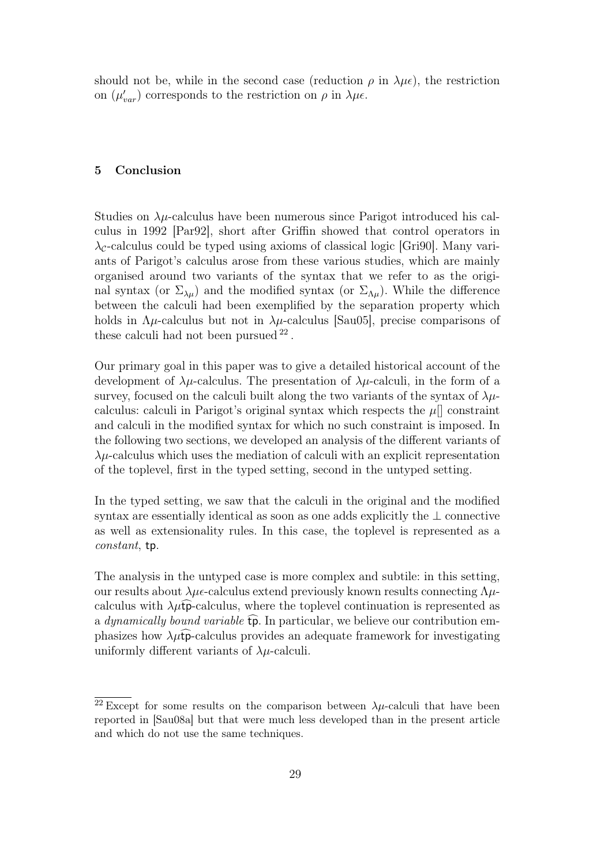should not be, while in the second case (reduction  $\rho$  in  $\lambda \mu \epsilon$ ), the restriction on  $(\mu'_{var})$  corresponds to the restriction on  $\rho$  in  $\lambda \mu \epsilon$ .

#### 5 Conclusion

Studies on  $\lambda\mu$ -calculus have been numerous since Parigot introduced his calculus in 1992 [Par92], short after Griffin showed that control operators in  $\lambda_c$ -calculus could be typed using axioms of classical logic [Gri90]. Many variants of Parigot's calculus arose from these various studies, which are mainly organised around two variants of the syntax that we refer to as the original syntax (or  $\Sigma_{\lambda\mu}$ ) and the modified syntax (or  $\Sigma_{\Lambda\mu}$ ). While the difference between the calculi had been exemplified by the separation property which holds in  $\Lambda \mu$ -calculus but not in  $\lambda \mu$ -calculus [Sau05], precise comparisons of these calculi had not been pursued <sup>22</sup>.

Our primary goal in this paper was to give a detailed historical account of the development of  $\lambda \mu$ -calculus. The presentation of  $\lambda \mu$ -calculi, in the form of a survey, focused on the calculi built along the two variants of the syntax of  $\lambda \mu$ calculus: calculi in Parigot's original syntax which respects the  $\mu$ || constraint and calculi in the modified syntax for which no such constraint is imposed. In the following two sections, we developed an analysis of the different variants of  $\lambda \mu$ -calculus which uses the mediation of calculi with an explicit representation of the toplevel, first in the typed setting, second in the untyped setting.

In the typed setting, we saw that the calculi in the original and the modified syntax are essentially identical as soon as one adds explicitly the  $\perp$  connective as well as extensionality rules. In this case, the toplevel is represented as a constant, tp.

The analysis in the untyped case is more complex and subtile: in this setting, our results about  $\lambda \mu \epsilon$ -calculus extend previously known results connecting  $\Lambda \mu$ calculus with  $\lambda\mu$ tp-calculus, where the toplevel continuation is represented as a dynamically bound variable  $\widehat{\mathfrak{tp}}$ . In particular, we believe our contribution emphasizes how  $\lambda \mu t$  p-calculus provides an adequate framework for investigating uniformly different variants of  $\lambda \mu$ -calculi.

<sup>&</sup>lt;sup>22</sup> Except for some results on the comparison between  $\lambda \mu$ -calculi that have been reported in [Sau08a] but that were much less developed than in the present article and which do not use the same techniques.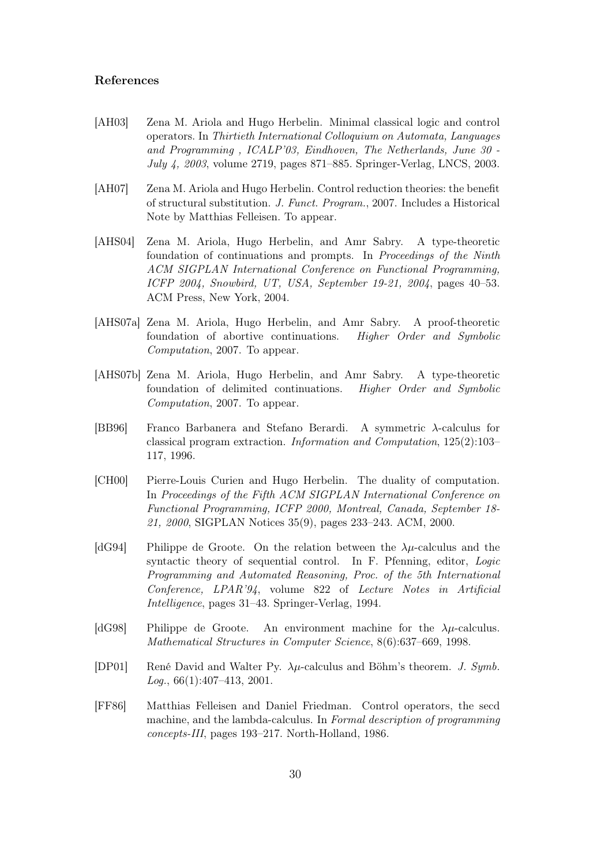#### References

- [AH03] Zena M. Ariola and Hugo Herbelin. Minimal classical logic and control operators. In Thirtieth International Colloquium on Automata, Languages and Programming , ICALP'03, Eindhoven, The Netherlands, June 30 - July 4, 2003, volume 2719, pages 871–885. Springer-Verlag, LNCS, 2003.
- [AH07] Zena M. Ariola and Hugo Herbelin. Control reduction theories: the benefit of structural substitution. J. Funct. Program., 2007. Includes a Historical Note by Matthias Felleisen. To appear.
- [AHS04] Zena M. Ariola, Hugo Herbelin, and Amr Sabry. A type-theoretic foundation of continuations and prompts. In Proceedings of the Ninth ACM SIGPLAN International Conference on Functional Programming, ICFP 2004, Snowbird, UT, USA, September 19-21, 2004, pages 40–53. ACM Press, New York, 2004.
- [AHS07a] Zena M. Ariola, Hugo Herbelin, and Amr Sabry. A proof-theoretic foundation of abortive continuations. Higher Order and Symbolic Computation, 2007. To appear.
- [AHS07b] Zena M. Ariola, Hugo Herbelin, and Amr Sabry. A type-theoretic foundation of delimited continuations. Higher Order and Symbolic Computation, 2007. To appear.
- [BB96] Franco Barbanera and Stefano Berardi. A symmetric λ-calculus for classical program extraction. Information and Computation, 125(2):103– 117, 1996.
- [CH00] Pierre-Louis Curien and Hugo Herbelin. The duality of computation. In Proceedings of the Fifth ACM SIGPLAN International Conference on Functional Programming, ICFP 2000, Montreal, Canada, September 18- 21, 2000, SIGPLAN Notices 35(9), pages 233–243. ACM, 2000.
- [dG94] Philippe de Groote. On the relation between the  $\lambda u$ -calculus and the syntactic theory of sequential control. In F. Pfenning, editor, Logic Programming and Automated Reasoning, Proc. of the 5th International Conference, LPAR'94, volume 822 of Lecture Notes in Artificial Intelligence, pages 31–43. Springer-Verlag, 1994.
- [dG98] Philippe de Groote. An environment machine for the  $\lambda \mu$ -calculus. Mathematical Structures in Computer Science, 8(6):637–669, 1998.
- [DP01] René David and Walter Py.  $\lambda \mu$ -calculus and Böhm's theorem. J. Symb.  $Log., 66(1):407-413, 2001.$
- [FF86] Matthias Felleisen and Daniel Friedman. Control operators, the secd machine, and the lambda-calculus. In Formal description of programming concepts-III, pages 193–217. North-Holland, 1986.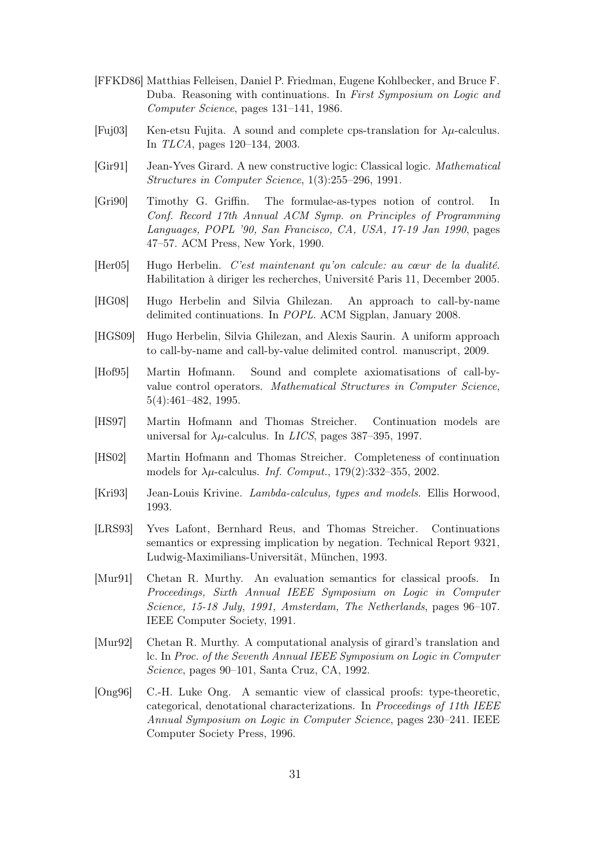- [FFKD86] Matthias Felleisen, Daniel P. Friedman, Eugene Kohlbecker, and Bruce F. Duba. Reasoning with continuations. In First Symposium on Logic and Computer Science, pages 131–141, 1986.
- [Fuj03] Ken-etsu Fujita. A sound and complete cps-translation for  $\lambda \mu$ -calculus. In TLCA, pages 120–134, 2003.
- [Gir91] Jean-Yves Girard. A new constructive logic: Classical logic. Mathematical Structures in Computer Science, 1(3):255–296, 1991.
- [Gri90] Timothy G. Griffin. The formulae-as-types notion of control. In Conf. Record 17th Annual ACM Symp. on Principles of Programming Languages, POPL '90, San Francisco, CA, USA, 17-19 Jan 1990, pages 47–57. ACM Press, New York, 1990.
- [Her05] Hugo Herbelin. C'est maintenant qu'on calcule: au cœur de la dualité. Habilitation à diriger les recherches, Université Paris 11, December 2005.
- [HG08] Hugo Herbelin and Silvia Ghilezan. An approach to call-by-name delimited continuations. In POPL. ACM Sigplan, January 2008.
- [HGS09] Hugo Herbelin, Silvia Ghilezan, and Alexis Saurin. A uniform approach to call-by-name and call-by-value delimited control. manuscript, 2009.
- [Hof95] Martin Hofmann. Sound and complete axiomatisations of call-byvalue control operators. Mathematical Structures in Computer Science, 5(4):461–482, 1995.
- [HS97] Martin Hofmann and Thomas Streicher. Continuation models are universal for  $\lambda \mu$ -calculus. In *LICS*, pages 387–395, 1997.
- [HS02] Martin Hofmann and Thomas Streicher. Completeness of continuation models for  $\lambda \mu$ -calculus. *Inf. Comput.*, 179(2):332–355, 2002.
- [Kri93] Jean-Louis Krivine. Lambda-calculus, types and models. Ellis Horwood, 1993.
- [LRS93] Yves Lafont, Bernhard Reus, and Thomas Streicher. Continuations semantics or expressing implication by negation. Technical Report 9321, Ludwig-Maximilians-Universität, München, 1993.
- [Mur91] Chetan R. Murthy. An evaluation semantics for classical proofs. In Proceedings, Sixth Annual IEEE Symposium on Logic in Computer Science, 15-18 July, 1991, Amsterdam, The Netherlands, pages 96–107. IEEE Computer Society, 1991.
- [Mur92] Chetan R. Murthy. A computational analysis of girard's translation and lc. In Proc. of the Seventh Annual IEEE Symposium on Logic in Computer Science, pages 90–101, Santa Cruz, CA, 1992.
- [Ong96] C.-H. Luke Ong. A semantic view of classical proofs: type-theoretic, categorical, denotational characterizations. In Proceedings of 11th IEEE Annual Symposium on Logic in Computer Science, pages 230–241. IEEE Computer Society Press, 1996.